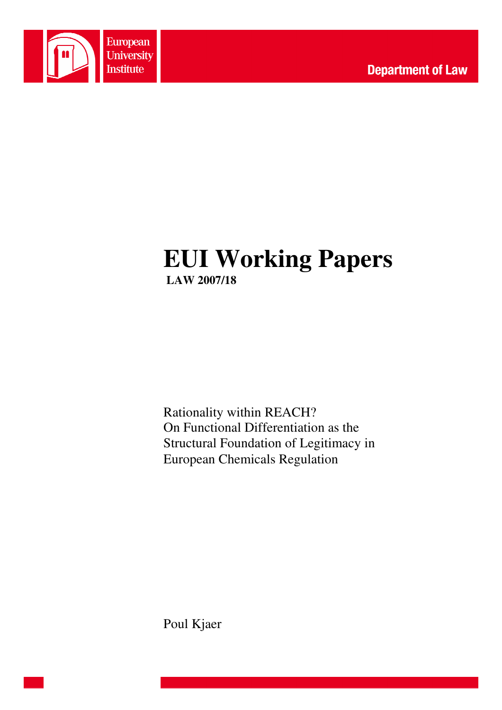

# **EUI Working Papers LAW 2007/18**

Rationality within REACH? On Functional Differentiation as the Structural Foundation of Legitimacy in European Chemicals Regulation

Poul Kjaer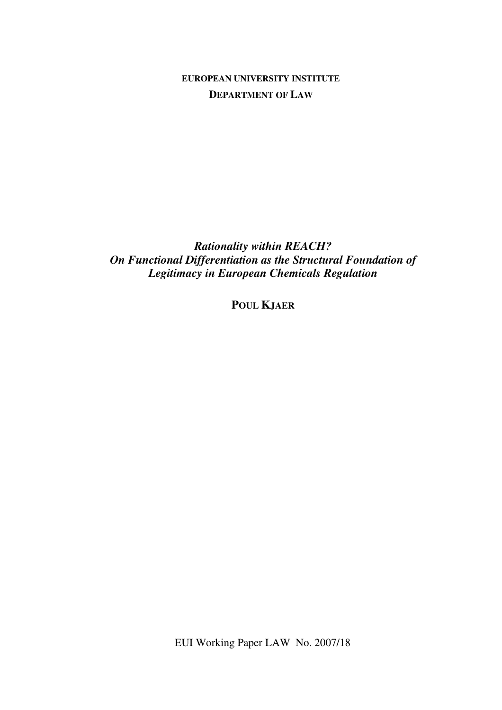**EUROPEAN UNIVERSITY INSTITUTE DEPARTMENT OF LAW**

*Rationality within REACH? On Functional Differentiation as the Structural Foundation of Legitimacy in European Chemicals Regulation* 

**POUL KJAER**

EUI Working Paper LAW No. 2007/18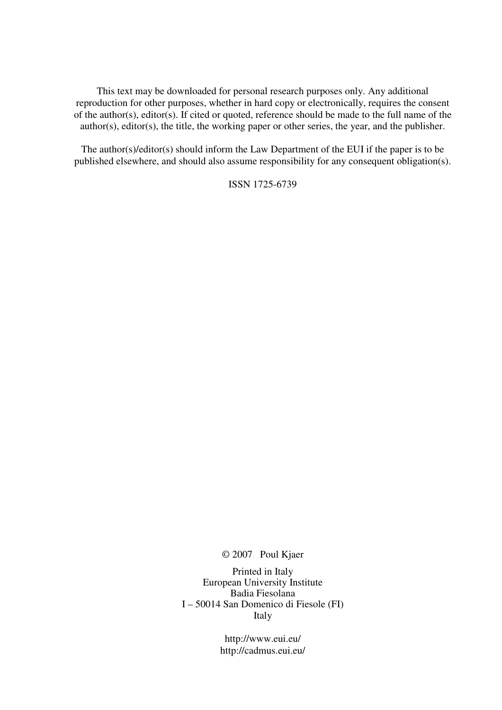This text may be downloaded for personal research purposes only. Any additional reproduction for other purposes, whether in hard copy or electronically, requires the consent of the author(s), editor(s). If cited or quoted, reference should be made to the full name of the author(s), editor(s), the title, the working paper or other series, the year, and the publisher.

The author(s)/editor(s) should inform the Law Department of the EUI if the paper is to be published elsewhere, and should also assume responsibility for any consequent obligation(s).

ISSN 1725-6739

© 2007 Poul Kjaer

Printed in Italy European University Institute Badia Fiesolana I – 50014 San Domenico di Fiesole (FI) Italy

> http://www.eui.eu/ http://cadmus.eui.eu/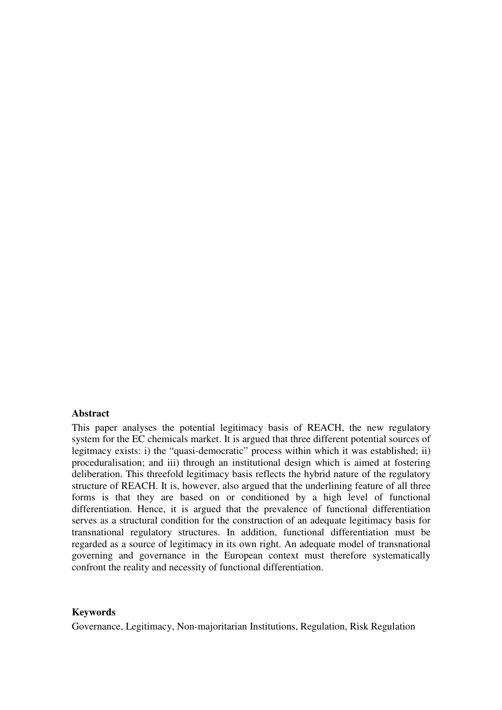#### **Abstract**

This paper analyses the potential legitimacy basis of REACH, the new regulatory system for the EC chemicals market. It is argued that three different potential sources of legitmacy exists: i) the "quasi-democratic" process within which it was established; ii) proceduralisation; and iii) through an institutional design which is aimed at fostering deliberation. This threefold legitimacy basis reflects the hybrid nature of the regulatory structure of REACH. It is, however, also argued that the underlining feature of all three forms is that they are based on or conditioned by a high level of functional differentiation. Hence, it is argued that the prevalence of functional differentiation serves as a structural condition for the construction of an adequate legitimacy basis for transnational regulatory structures. In addition, functional differentiation must be regarded as a source of legitimacy in its own right. An adequate model of transnational governing and governance in the European context must therefore systematically confront the reality and necessity of functional differentiation.

#### **Keywords**

Governance, Legitimacy, Non-majoritarian Institutions, Regulation, Risk Regulation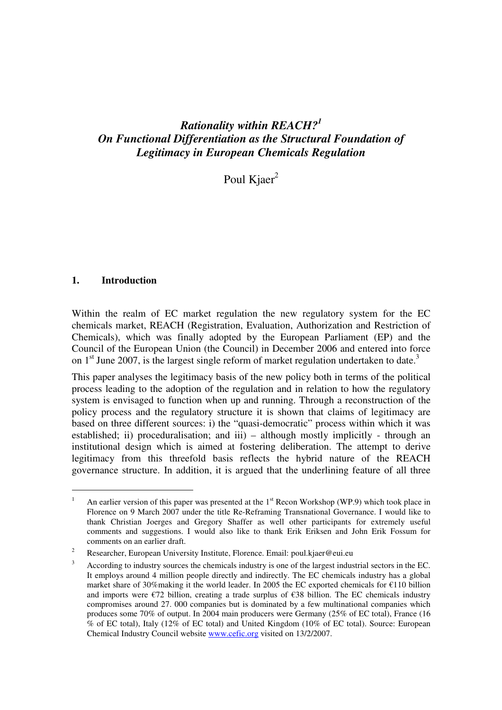## *Rationality within REACH?<sup>1</sup> On Functional Differentiation as the Structural Foundation of Legitimacy in European Chemicals Regulation*

Poul  $K*i* aer<sup>2</sup>$ 

## **1. Introduction**

 $\overline{a}$ 

Within the realm of EC market regulation the new regulatory system for the EC chemicals market, REACH (Registration, Evaluation, Authorization and Restriction of Chemicals), which was finally adopted by the European Parliament (EP) and the Council of the European Union (the Council) in December 2006 and entered into force on  $1<sup>st</sup>$  June 2007, is the largest single reform of market regulation undertaken to date.<sup>3</sup>

This paper analyses the legitimacy basis of the new policy both in terms of the political process leading to the adoption of the regulation and in relation to how the regulatory system is envisaged to function when up and running. Through a reconstruction of the policy process and the regulatory structure it is shown that claims of legitimacy are based on three different sources: i) the "quasi-democratic" process within which it was established; ii) proceduralisation; and iii) – although mostly implicitly - through an institutional design which is aimed at fostering deliberation. The attempt to derive legitimacy from this threefold basis reflects the hybrid nature of the REACH governance structure. In addition, it is argued that the underlining feature of all three

<sup>1</sup> An earlier version of this paper was presented at the 1<sup>st</sup> Recon Workshop (WP.9) which took place in Florence on 9 March 2007 under the title Re-Reframing Transnational Governance. I would like to thank Christian Joerges and Gregory Shaffer as well other participants for extremely useful comments and suggestions. I would also like to thank Erik Eriksen and John Erik Fossum for comments on an earlier draft.

 $\overline{2}$ Researcher, European University Institute, Florence. Email: poul.kjaer@eui.eu

<sup>3</sup> According to industry sources the chemicals industry is one of the largest industrial sectors in the EC. It employs around 4 million people directly and indirectly. The EC chemicals industry has a global market share of 30%making it the world leader. In 2005 the EC exported chemicals for €110 billion and imports were  $\epsilon$ 72 billion, creating a trade surplus of  $\epsilon$ 38 billion. The EC chemicals industry compromises around 27. 000 companies but is dominated by a few multinational companies which produces some 70% of output. In 2004 main producers were Germany (25% of EC total), France (16 % of EC total), Italy (12% of EC total) and United Kingdom (10% of EC total). Source: European Chemical Industry Council website www.cefic.org visited on 13/2/2007.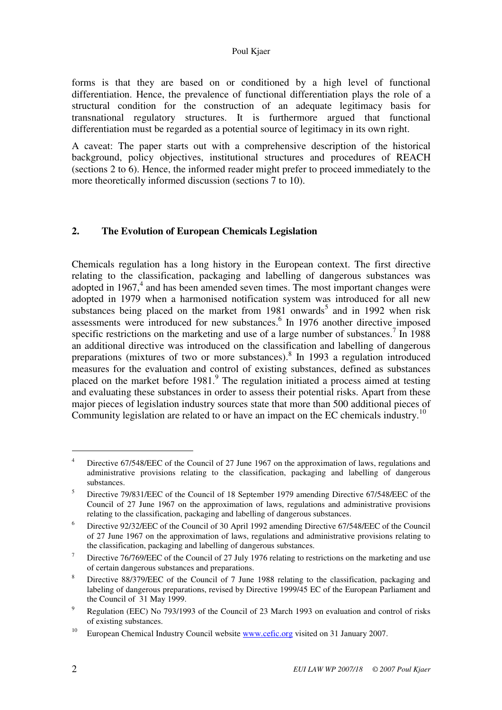#### Poul Kjaer

forms is that they are based on or conditioned by a high level of functional differentiation. Hence, the prevalence of functional differentiation plays the role of a structural condition for the construction of an adequate legitimacy basis for transnational regulatory structures. It is furthermore argued that functional differentiation must be regarded as a potential source of legitimacy in its own right.

A caveat: The paper starts out with a comprehensive description of the historical background, policy objectives, institutional structures and procedures of REACH (sections 2 to 6). Hence, the informed reader might prefer to proceed immediately to the more theoretically informed discussion (sections 7 to 10).

## **2. The Evolution of European Chemicals Legislation**

Chemicals regulation has a long history in the European context. The first directive relating to the classification, packaging and labelling of dangerous substances was adopted in 1967,<sup>4</sup> and has been amended seven times. The most important changes were adopted in 1979 when a harmonised notification system was introduced for all new substances being placed on the market from  $1981$  onwards<sup>5</sup> and in 1992 when risk assessments were introduced for new substances.<sup>6</sup> In 1976 another directive imposed specific restrictions on the marketing and use of a large number of substances.<sup>7</sup> In 1988 an additional directive was introduced on the classification and labelling of dangerous preparations (mixtures of two or more substances).<sup>8</sup> In 1993 a regulation introduced measures for the evaluation and control of existing substances, defined as substances placed on the market before  $1981$ .<sup>9</sup> The regulation initiated a process aimed at testing and evaluating these substances in order to assess their potential risks. Apart from these major pieces of legislation industry sources state that more than 500 additional pieces of Community legislation are related to or have an impact on the EC chemicals industry.<sup>10</sup>

<sup>4</sup> Directive 67/548/EEC of the Council of 27 June 1967 on the approximation of laws, regulations and administrative provisions relating to the classification, packaging and labelling of dangerous substances.

<sup>5</sup> Directive 79/831/EEC of the Council of 18 September 1979 amending Directive 67/548/EEC of the Council of 27 June 1967 on the approximation of laws, regulations and administrative provisions relating to the classification, packaging and labelling of dangerous substances.

<sup>6</sup> Directive 92/32/EEC of the Council of 30 April 1992 amending Directive 67/548/EEC of the Council of 27 June 1967 on the approximation of laws, regulations and administrative provisions relating to the classification, packaging and labelling of dangerous substances.

<sup>7</sup> Directive 76/769/EEC of the Council of 27 July 1976 relating to restrictions on the marketing and use of certain dangerous substances and preparations.

<sup>8</sup> Directive 88/379/EEC of the Council of 7 June 1988 relating to the classification, packaging and labeling of dangerous preparations, revised by Directive 1999/45 EC of the European Parliament and the Council of 31 May 1999.

<sup>9</sup> Regulation (EEC) No 793/1993 of the Council of 23 March 1993 on evaluation and control of risks of existing substances.

<sup>&</sup>lt;sup>10</sup> European Chemical Industry Council website www.cefic.org visited on 31 January 2007.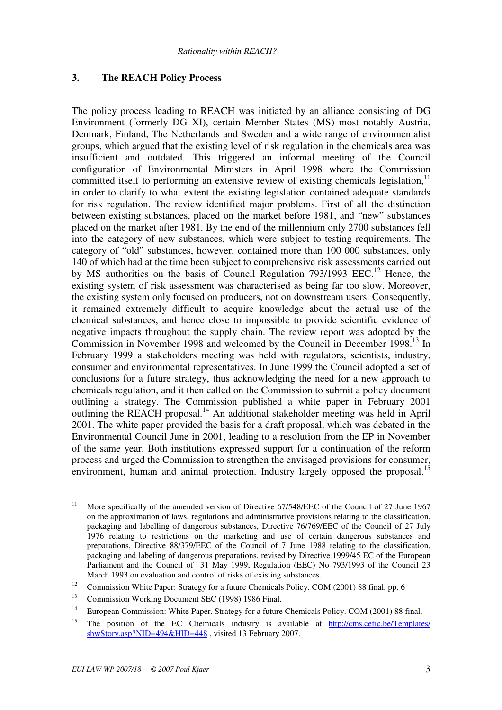## **3. The REACH Policy Process**

The policy process leading to REACH was initiated by an alliance consisting of DG Environment (formerly DG XI), certain Member States (MS) most notably Austria, Denmark, Finland, The Netherlands and Sweden and a wide range of environmentalist groups, which argued that the existing level of risk regulation in the chemicals area was insufficient and outdated. This triggered an informal meeting of the Council configuration of Environmental Ministers in April 1998 where the Commission committed itself to performing an extensive review of existing chemicals legislation,  $11$ in order to clarify to what extent the existing legislation contained adequate standards for risk regulation. The review identified major problems. First of all the distinction between existing substances, placed on the market before 1981, and "new" substances placed on the market after 1981. By the end of the millennium only 2700 substances fell into the category of new substances, which were subject to testing requirements. The category of "old" substances, however, contained more than 100 000 substances, only 140 of which had at the time been subject to comprehensive risk assessments carried out by MS authorities on the basis of Council Regulation  $793/1993$  EEC.<sup>12</sup> Hence, the existing system of risk assessment was characterised as being far too slow. Moreover, the existing system only focused on producers, not on downstream users. Consequently, it remained extremely difficult to acquire knowledge about the actual use of the chemical substances, and hence close to impossible to provide scientific evidence of negative impacts throughout the supply chain. The review report was adopted by the Commission in November 1998 and welcomed by the Council in December 1998.<sup>13</sup> In February 1999 a stakeholders meeting was held with regulators, scientists, industry, consumer and environmental representatives. In June 1999 the Council adopted a set of conclusions for a future strategy, thus acknowledging the need for a new approach to chemicals regulation, and it then called on the Commission to submit a policy document outlining a strategy. The Commission published a white paper in February 2001 outlining the REACH proposal.<sup>14</sup> An additional stakeholder meeting was held in April 2001. The white paper provided the basis for a draft proposal, which was debated in the Environmental Council June in 2001, leading to a resolution from the EP in November of the same year. Both institutions expressed support for a continuation of the reform process and urged the Commission to strengthen the envisaged provisions for consumer, environment, human and animal protection. Industry largely opposed the proposal.<sup>15</sup>

<sup>&</sup>lt;sup>11</sup> More specifically of the amended version of Directive 67/548/EEC of the Council of 27 June 1967 on the approximation of laws, regulations and administrative provisions relating to the classification, packaging and labelling of dangerous substances, Directive 76/769/EEC of the Council of 27 July 1976 relating to restrictions on the marketing and use of certain dangerous substances and preparations, Directive 88/379/EEC of the Council of 7 June 1988 relating to the classification, packaging and labeling of dangerous preparations, revised by Directive 1999/45 EC of the European Parliament and the Council of 31 May 1999, Regulation (EEC) No 793/1993 of the Council 23 March 1993 on evaluation and control of risks of existing substances.

<sup>&</sup>lt;sup>12</sup> Commission White Paper: Strategy for a future Chemicals Policy. COM (2001) 88 final, pp. 6

<sup>&</sup>lt;sup>13</sup> Commission Working Document SEC (1998) 1986 Final.

<sup>&</sup>lt;sup>14</sup> European Commission: White Paper. Strategy for a future Chemicals Policy. COM (2001) 88 final.

<sup>&</sup>lt;sup>15</sup> The position of the EC Chemicals industry is available at http://cms.cefic.be/Templates/ shwStory.asp?NID=494&HID=448 , visited 13 February 2007.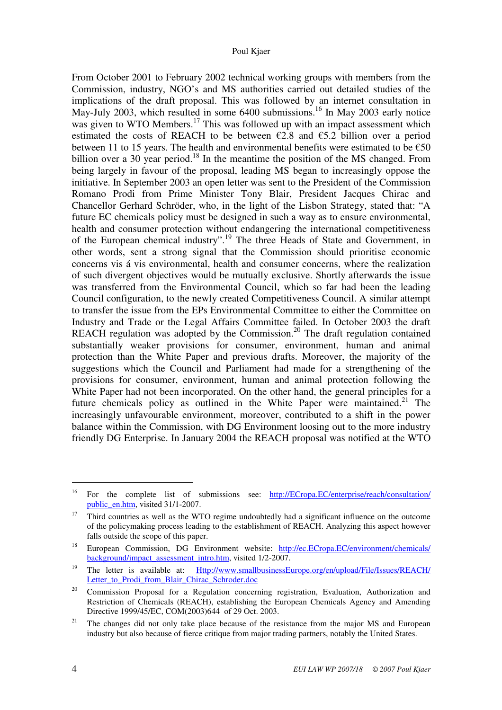From October 2001 to February 2002 technical working groups with members from the Commission, industry, NGO's and MS authorities carried out detailed studies of the implications of the draft proposal. This was followed by an internet consultation in May-July 2003, which resulted in some 6400 submissions.<sup>16</sup> In May 2003 early notice was given to WTO Members.<sup>17</sup> This was followed up with an impact assessment which estimated the costs of REACH to be between  $\epsilon$ 2.8 and  $\epsilon$ 5.2 billion over a period between 11 to 15 years. The health and environmental benefits were estimated to be  $\epsilon$ 50 billion over a 30 year period.<sup>18</sup> In the meantime the position of the MS changed. From being largely in favour of the proposal, leading MS began to increasingly oppose the initiative. In September 2003 an open letter was sent to the President of the Commission Romano Prodi from Prime Minister Tony Blair, President Jacques Chirac and Chancellor Gerhard Schröder, who, in the light of the Lisbon Strategy, stated that: "A future EC chemicals policy must be designed in such a way as to ensure environmental, health and consumer protection without endangering the international competitiveness of the European chemical industry".<sup>19</sup> The three Heads of State and Government, in other words, sent a strong signal that the Commission should prioritise economic concerns vis á vis environmental, health and consumer concerns, where the realization of such divergent objectives would be mutually exclusive. Shortly afterwards the issue was transferred from the Environmental Council, which so far had been the leading Council configuration, to the newly created Competitiveness Council. A similar attempt to transfer the issue from the EPs Environmental Committee to either the Committee on Industry and Trade or the Legal Affairs Committee failed. In October 2003 the draft REACH regulation was adopted by the Commission.<sup>20</sup> The draft regulation contained substantially weaker provisions for consumer, environment, human and animal protection than the White Paper and previous drafts. Moreover, the majority of the suggestions which the Council and Parliament had made for a strengthening of the provisions for consumer, environment, human and animal protection following the White Paper had not been incorporated. On the other hand, the general principles for a future chemicals policy as outlined in the White Paper were maintained.<sup>21</sup> The increasingly unfavourable environment, moreover, contributed to a shift in the power balance within the Commission, with DG Environment loosing out to the more industry friendly DG Enterprise. In January 2004 the REACH proposal was notified at the WTO

<sup>&</sup>lt;sup>16</sup> For the complete list of submissions see:  $\frac{http://ECross.EC/enterprise/reach/consultation/}{}$ public\_en.htm, visited 31/1-2007.

<sup>&</sup>lt;sup>17</sup> Third countries as well as the WTO regime undoubtedly had a significant influence on the outcome of the policymaking process leading to the establishment of REACH. Analyzing this aspect however falls outside the scope of this paper.

<sup>&</sup>lt;sup>18</sup> European Commission, DG Environment website: http://ec.ECropa.EC/environment/chemicals/ background/impact\_assessment\_intro.htm, visited 1/2-2007.

<sup>&</sup>lt;sup>19</sup> The letter is available at: Http://www.smallbusinessEurope.org/en/upload/File/Issues/REACH/ Letter to Prodi\_from\_Blair\_Chirac\_Schroder.doc

 $20$  Commission Proposal for a Regulation concerning registration, Evaluation, Authorization and Restriction of Chemicals (REACH), establishing the European Chemicals Agency and Amending Directive 1999/45/EC, COM(2003)644 of 29 Oct. 2003.

<sup>&</sup>lt;sup>21</sup> The changes did not only take place because of the resistance from the major MS and European industry but also because of fierce critique from major trading partners, notably the United States.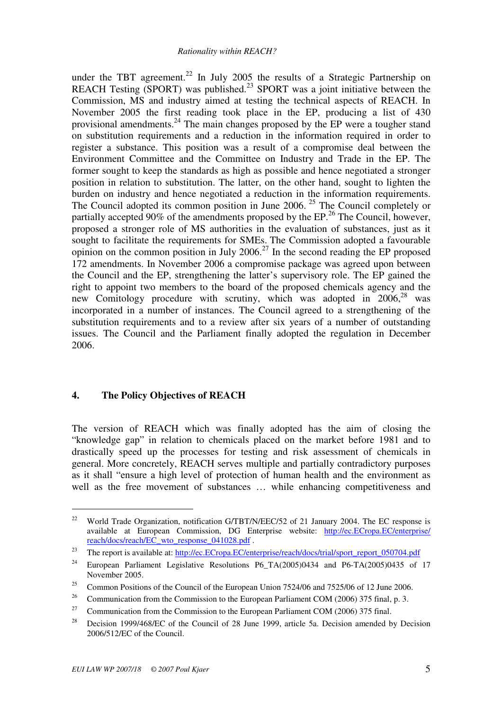under the TBT agreement.<sup>22</sup> In July 2005 the results of a Strategic Partnership on REACH Testing (SPORT) was published.<sup>23</sup> SPORT was a joint initiative between the Commission, MS and industry aimed at testing the technical aspects of REACH. In November 2005 the first reading took place in the EP, producing a list of 430 provisional amendments.<sup>24</sup> The main changes proposed by the EP were a tougher stand on substitution requirements and a reduction in the information required in order to register a substance. This position was a result of a compromise deal between the Environment Committee and the Committee on Industry and Trade in the EP. The former sought to keep the standards as high as possible and hence negotiated a stronger position in relation to substitution. The latter, on the other hand, sought to lighten the burden on industry and hence negotiated a reduction in the information requirements. The Council adopted its common position in June 2006.<sup>25</sup> The Council completely or partially accepted 90% of the amendments proposed by the EP.<sup>26</sup> The Council, however, proposed a stronger role of MS authorities in the evaluation of substances, just as it sought to facilitate the requirements for SMEs. The Commission adopted a favourable opinion on the common position in July 2006.<sup>27</sup> In the second reading the EP proposed 172 amendments. In November 2006 a compromise package was agreed upon between the Council and the EP, strengthening the latter's supervisory role. The EP gained the right to appoint two members to the board of the proposed chemicals agency and the new Comitology procedure with scrutiny, which was adopted in 2006,<sup>28</sup> was incorporated in a number of instances. The Council agreed to a strengthening of the substitution requirements and to a review after six years of a number of outstanding issues. The Council and the Parliament finally adopted the regulation in December 2006.

#### **4. The Policy Objectives of REACH**

The version of REACH which was finally adopted has the aim of closing the "knowledge gap" in relation to chemicals placed on the market before 1981 and to drastically speed up the processes for testing and risk assessment of chemicals in general. More concretely, REACH serves multiple and partially contradictory purposes as it shall "ensure a high level of protection of human health and the environment as well as the free movement of substances … while enhancing competitiveness and

<sup>&</sup>lt;sup>22</sup> World Trade Organization, notification G/TBT/N/EEC/52 of 21 January 2004. The EC response is available at European Commission, DG Enterprise website: http://ec.ECropa.EC/enterprise/ reach/docs/reach/EC\_wto\_response\_041028.pdf .

<sup>&</sup>lt;sup>23</sup> The report is available at: http://ec.ECropa.EC/enterprise/reach/docs/trial/sport\_report\_050704.pdf

<sup>&</sup>lt;sup>24</sup> European Parliament Legislative Resolutions P6\_TA(2005)0434 and P6-TA(2005)0435 of 17 November 2005.

<sup>&</sup>lt;sup>25</sup> Common Positions of the Council of the European Union  $7524/06$  and  $7525/06$  of 12 June 2006.

<sup>&</sup>lt;sup>26</sup> Communication from the Commission to the European Parliament COM (2006) 375 final, p. 3.

<sup>&</sup>lt;sup>27</sup> Communication from the Commission to the European Parliament COM (2006) 375 final.

<sup>&</sup>lt;sup>28</sup> Decision 1999/468/EC of the Council of 28 June 1999, article 5a. Decision amended by Decision 2006/512/EC of the Council.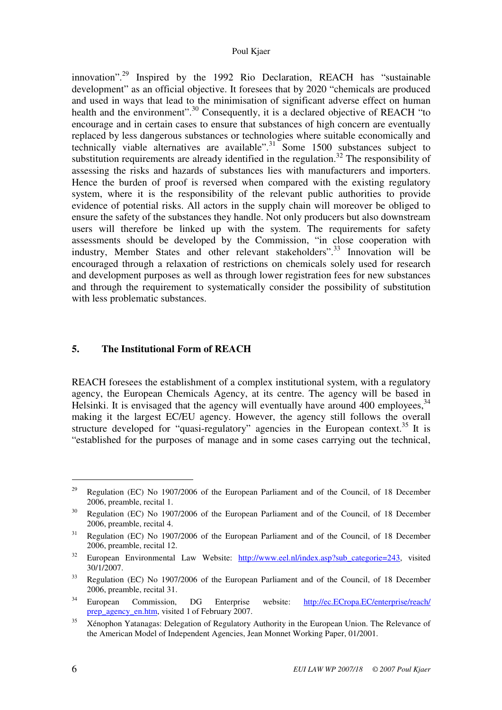#### Poul Kjaer

innovation".<sup>29</sup> Inspired by the 1992 Rio Declaration, REACH has "sustainable development" as an official objective. It foresees that by 2020 "chemicals are produced and used in ways that lead to the minimisation of significant adverse effect on human health and the environment".<sup>30</sup> Consequently, it is a declared objective of REACH "to encourage and in certain cases to ensure that substances of high concern are eventually replaced by less dangerous substances or technologies where suitable economically and technically viable alternatives are available".<sup>31</sup> Some 1500 substances subject to substitution requirements are already identified in the regulation.<sup>32</sup> The responsibility of assessing the risks and hazards of substances lies with manufacturers and importers. Hence the burden of proof is reversed when compared with the existing regulatory system, where it is the responsibility of the relevant public authorities to provide evidence of potential risks. All actors in the supply chain will moreover be obliged to ensure the safety of the substances they handle. Not only producers but also downstream users will therefore be linked up with the system. The requirements for safety assessments should be developed by the Commission, "in close cooperation with industry, Member States and other relevant stakeholders".<sup>33</sup> Innovation will be encouraged through a relaxation of restrictions on chemicals solely used for research and development purposes as well as through lower registration fees for new substances and through the requirement to systematically consider the possibility of substitution with less problematic substances.

## **5. The Institutional Form of REACH**

REACH foresees the establishment of a complex institutional system, with a regulatory agency, the European Chemicals Agency, at its centre. The agency will be based in Helsinki. It is envisaged that the agency will eventually have around 400 employees,  $34$ making it the largest EC/EU agency. However, the agency still follows the overall structure developed for "quasi-regulatory" agencies in the European context.<sup>35</sup> It is "established for the purposes of manage and in some cases carrying out the technical,

<sup>&</sup>lt;sup>29</sup> Regulation (EC) No 1907/2006 of the European Parliament and of the Council, of 18 December 2006, preamble, recital 1.

<sup>&</sup>lt;sup>30</sup> Regulation (EC) No 1907/2006 of the European Parliament and of the Council, of 18 December 2006, preamble, recital 4.

<sup>&</sup>lt;sup>31</sup> Regulation (EC) No 1907/2006 of the European Parliament and of the Council, of 18 December 2006, preamble, recital 12.

 $32$  European Environmental Law Website:  $\frac{http://www.eel.nl/index.asp?subcategorie=243}{http://www.eel.nl/index.asp?subcategorie=243}$ , visited 30/1/2007.

<sup>&</sup>lt;sup>33</sup> Regulation (EC) No 1907/2006 of the European Parliament and of the Council, of 18 December 2006, preamble, recital 31.

<sup>34</sup> European Commission, DG Enterprise website: http://ec.ECropa.EC/enterprise/reach/ prep\_agency\_en.htm, visited 1 of February 2007.

<sup>&</sup>lt;sup>35</sup> Xénophon Yatanagas: Delegation of Regulatory Authority in the European Union. The Relevance of the American Model of Independent Agencies, Jean Monnet Working Paper, 01/2001.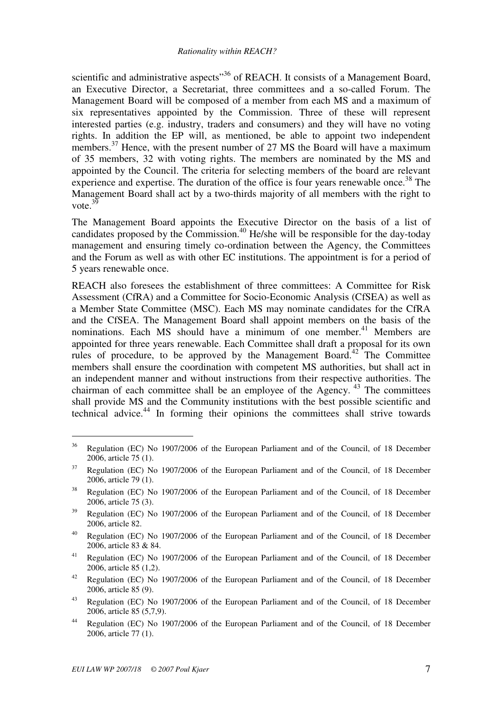scientific and administrative aspects<sup>"36</sup> of REACH. It consists of a Management Board, an Executive Director, a Secretariat, three committees and a so-called Forum. The Management Board will be composed of a member from each MS and a maximum of six representatives appointed by the Commission. Three of these will represent interested parties (e.g. industry, traders and consumers) and they will have no voting rights. In addition the EP will, as mentioned, be able to appoint two independent members.<sup>37</sup> Hence, with the present number of 27 MS the Board will have a maximum of 35 members, 32 with voting rights. The members are nominated by the MS and appointed by the Council. The criteria for selecting members of the board are relevant experience and expertise. The duration of the office is four years renewable once.<sup>38</sup> The Management Board shall act by a two-thirds majority of all members with the right to vote. $3\overline{9}$ 

The Management Board appoints the Executive Director on the basis of a list of candidates proposed by the Commission.<sup>40</sup> He/she will be responsible for the day-today management and ensuring timely co-ordination between the Agency, the Committees and the Forum as well as with other EC institutions. The appointment is for a period of 5 years renewable once.

REACH also foresees the establishment of three committees: A Committee for Risk Assessment (CfRA) and a Committee for Socio-Economic Analysis (CfSEA) as well as a Member State Committee (MSC). Each MS may nominate candidates for the CfRA and the CfSEA. The Management Board shall appoint members on the basis of the nominations. Each MS should have a minimum of one member.<sup>41</sup> Members are appointed for three years renewable. Each Committee shall draft a proposal for its own rules of procedure, to be approved by the Management Board.<sup> $42$ </sup> The Committee members shall ensure the coordination with competent MS authorities, but shall act in an independent manner and without instructions from their respective authorities. The chairman of each committee shall be an employee of the Agency.<sup>43</sup> The committees shall provide MS and the Community institutions with the best possible scientific and technical advice.<sup>44</sup> In forming their opinions the committees shall strive towards

<sup>&</sup>lt;sup>36</sup> Regulation (EC) No 1907/2006 of the European Parliament and of the Council, of 18 December 2006, article 75 (1).

<sup>&</sup>lt;sup>37</sup> Regulation (EC) No 1907/2006 of the European Parliament and of the Council, of 18 December 2006, article 79 (1).

<sup>&</sup>lt;sup>38</sup> Regulation (EC) No 1907/2006 of the European Parliament and of the Council, of 18 December 2006, article 75 (3).

<sup>&</sup>lt;sup>39</sup> Regulation (EC) No 1907/2006 of the European Parliament and of the Council, of 18 December 2006, article 82.

<sup>40</sup> Regulation (EC) No 1907/2006 of the European Parliament and of the Council, of 18 December 2006, article 83 & 84.

<sup>&</sup>lt;sup>41</sup> Regulation (EC) No 1907/2006 of the European Parliament and of the Council, of 18 December 2006, article 85 (1,2).

<sup>&</sup>lt;sup>42</sup> Regulation (EC) No 1907/2006 of the European Parliament and of the Council, of 18 December 2006, article 85 (9).

<sup>&</sup>lt;sup>43</sup> Regulation (EC) No 1907/2006 of the European Parliament and of the Council, of 18 December 2006, article 85 (5,7,9).

<sup>44</sup> Regulation (EC) No 1907/2006 of the European Parliament and of the Council, of 18 December 2006, article 77 (1).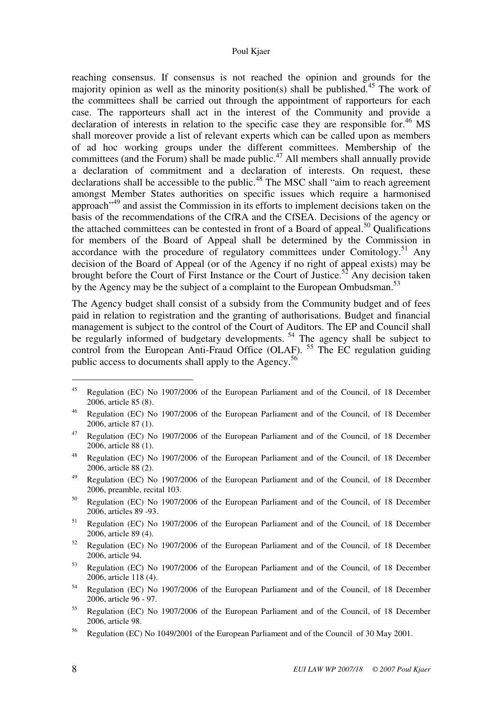reaching consensus. If consensus is not reached the opinion and grounds for the majority opinion as well as the minority position(s) shall be published.<sup>45</sup> The work of the committees shall be carried out through the appointment of rapporteurs for each case. The rapporteurs shall act in the interest of the Community and provide a declaration of interests in relation to the specific case they are responsible for.<sup>46</sup> MS shall moreover provide a list of relevant experts which can be called upon as members of ad hoc working groups under the different committees. Membership of the committees (and the Forum) shall be made public.<sup>47</sup> All members shall annually provide a declaration of commitment and a declaration of interests. On request, these declarations shall be accessible to the public.<sup>48</sup> The MSC shall "aim to reach agreement amongst Member States authorities on specific issues which require a harmonised approach<sup>"49</sup> and assist the Commission in its efforts to implement decisions taken on the basis of the recommendations of the CfRA and the CfSEA. Decisions of the agency or the attached committees can be contested in front of a Board of appeal.<sup>50</sup> Qualifications for members of the Board of Appeal shall be determined by the Commission in accordance with the procedure of regulatory committees under Comitology.<sup>51</sup> Any decision of the Board of Appeal (or of the Agency if no right of appeal exists) may be brought before the Court of First Instance or the Court of Justice.<sup>52</sup> Any decision taken by the Agency may be the subject of a complaint to the European Ombudsman.<sup>53</sup>

The Agency budget shall consist of a subsidy from the Community budget and of fees paid in relation to registration and the granting of authorisations. Budget and financial management is subject to the control of the Court of Auditors. The EP and Council shall be regularly informed of budgetary developments.<sup>54</sup> The agency shall be subject to control from the European Anti-Fraud Office (OLAF). <sup>55</sup> The EC regulation guiding public access to documents shall apply to the Agency.<sup>56</sup>

<sup>&</sup>lt;sup>45</sup> Regulation (EC) No 1907/2006 of the European Parliament and of the Council, of 18 December 2006, article 85 (8).

<sup>46</sup> Regulation (EC) No 1907/2006 of the European Parliament and of the Council, of 18 December 2006, article 87 (1).

<sup>&</sup>lt;sup>47</sup> Regulation (EC) No 1907/2006 of the European Parliament and of the Council, of 18 December 2006, article 88 (1).

<sup>48</sup> Regulation (EC) No 1907/2006 of the European Parliament and of the Council, of 18 December 2006, article 88 (2).

<sup>&</sup>lt;sup>49</sup> Regulation (EC) No 1907/2006 of the European Parliament and of the Council, of 18 December 2006, preamble, recital 103.

<sup>50</sup> Regulation (EC) No 1907/2006 of the European Parliament and of the Council, of 18 December 2006, articles 89 -93.

<sup>51</sup> Regulation (EC) No 1907/2006 of the European Parliament and of the Council, of 18 December 2006, article 89 (4).

<sup>52</sup> Regulation (EC) No 1907/2006 of the European Parliament and of the Council, of 18 December 2006, article 94.

<sup>53</sup> Regulation (EC) No 1907/2006 of the European Parliament and of the Council, of 18 December 2006, article 118 (4).

<sup>54</sup> Regulation (EC) No 1907/2006 of the European Parliament and of the Council, of 18 December 2006, article 96 - 97.

<sup>55</sup> Regulation (EC) No 1907/2006 of the European Parliament and of the Council, of 18 December 2006, article 98.

<sup>56</sup> Regulation (EC) No 1049/2001 of the European Parliament and of the Council of 30 May 2001.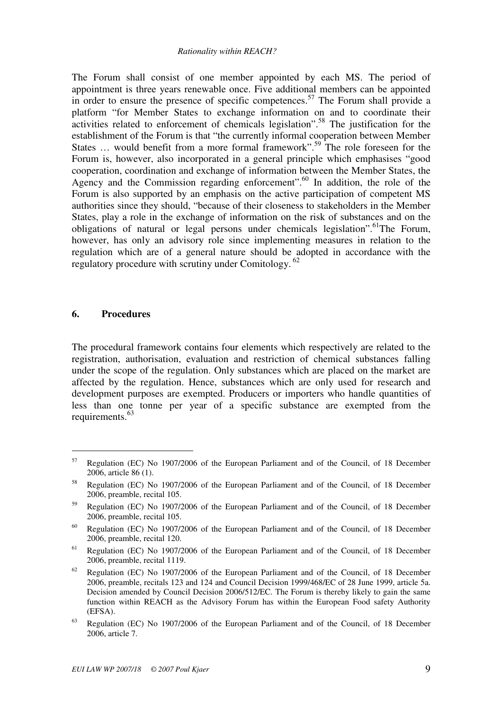The Forum shall consist of one member appointed by each MS. The period of appointment is three years renewable once. Five additional members can be appointed in order to ensure the presence of specific competences.<sup>57</sup> The Forum shall provide a platform "for Member States to exchange information on and to coordinate their activities related to enforcement of chemicals legislation".<sup>58</sup> The justification for the establishment of the Forum is that "the currently informal cooperation between Member States ... would benefit from a more formal framework".<sup>59</sup> The role foreseen for the Forum is, however, also incorporated in a general principle which emphasises "good cooperation, coordination and exchange of information between the Member States, the Agency and the Commission regarding enforcement".<sup>60</sup> In addition, the role of the Forum is also supported by an emphasis on the active participation of competent MS authorities since they should, "because of their closeness to stakeholders in the Member States, play a role in the exchange of information on the risk of substances and on the obligations of natural or legal persons under chemicals legislation". <sup>61</sup>The Forum, however, has only an advisory role since implementing measures in relation to the regulation which are of a general nature should be adopted in accordance with the regulatory procedure with scrutiny under Comitology.<sup>62</sup>

#### **6. Procedures**

 $\overline{a}$ 

The procedural framework contains four elements which respectively are related to the registration, authorisation, evaluation and restriction of chemical substances falling under the scope of the regulation. Only substances which are placed on the market are affected by the regulation. Hence, substances which are only used for research and development purposes are exempted. Producers or importers who handle quantities of less than one tonne per year of a specific substance are exempted from the requirements.<sup>63</sup>

<sup>57</sup> Regulation (EC) No 1907/2006 of the European Parliament and of the Council, of 18 December 2006, article 86 (1).

<sup>58</sup> Regulation (EC) No 1907/2006 of the European Parliament and of the Council, of 18 December 2006, preamble, recital 105.

<sup>59</sup> Regulation (EC) No 1907/2006 of the European Parliament and of the Council, of 18 December 2006, preamble, recital 105.

<sup>60</sup> Regulation (EC) No 1907/2006 of the European Parliament and of the Council, of 18 December 2006, preamble, recital 120.

 $61$  Regulation (EC) No 1907/2006 of the European Parliament and of the Council, of 18 December 2006, preamble, recital 1119.

 $62$  Regulation (EC) No 1907/2006 of the European Parliament and of the Council, of 18 December 2006, preamble, recitals 123 and 124 and Council Decision 1999/468/EC of 28 June 1999, article 5a. Decision amended by Council Decision 2006/512/EC. The Forum is thereby likely to gain the same function within REACH as the Advisory Forum has within the European Food safety Authority (EFSA).

<sup>&</sup>lt;sup>63</sup> Regulation (EC) No 1907/2006 of the European Parliament and of the Council, of 18 December 2006, article 7.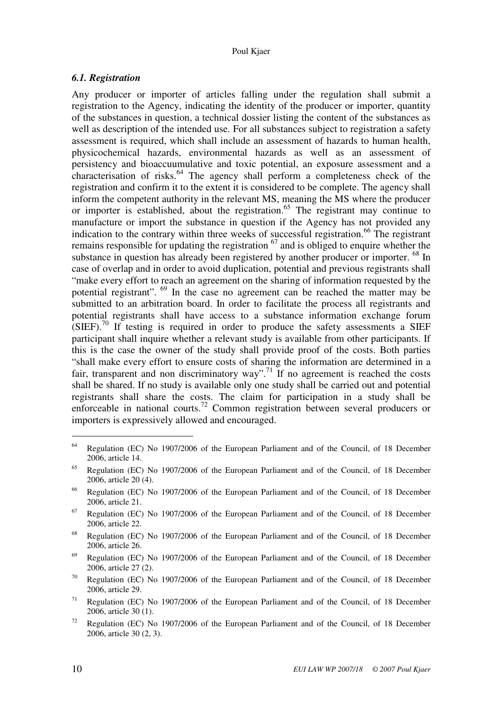## *6.1. Registration*

Any producer or importer of articles falling under the regulation shall submit a registration to the Agency, indicating the identity of the producer or importer, quantity of the substances in question, a technical dossier listing the content of the substances as well as description of the intended use. For all substances subject to registration a safety assessment is required, which shall include an assessment of hazards to human health, physicochemical hazards, environmental hazards as well as an assessment of persistency and bioaccuumulative and toxic potential, an exposure assessment and a characterisation of risks. $64$  The agency shall perform a completeness check of the registration and confirm it to the extent it is considered to be complete. The agency shall inform the competent authority in the relevant MS, meaning the MS where the producer or importer is established, about the registration.<sup>65</sup> The registrant may continue to manufacture or import the substance in question if the Agency has not provided any indication to the contrary within three weeks of successful registration.<sup>66</sup> The registrant remains responsible for updating the registration  $^{67}$  and is obliged to enquire whether the substance in question has already been registered by another producer or importer. <sup>68</sup> In case of overlap and in order to avoid duplication, potential and previous registrants shall "make every effort to reach an agreement on the sharing of information requested by the potential registrant". <sup>69</sup> In the case no agreement can be reached the matter may be submitted to an arbitration board. In order to facilitate the process all registrants and potential registrants shall have access to a substance information exchange forum  $(SIEF).$ <sup>70</sup> If testing is required in order to produce the safety assessments a SIEF participant shall inquire whether a relevant study is available from other participants. If this is the case the owner of the study shall provide proof of the costs. Both parties "shall make every effort to ensure costs of sharing the information are determined in a fair, transparent and non discriminatory way".<sup>71</sup> If no agreement is reached the costs shall be shared. If no study is available only one study shall be carried out and potential registrants shall share the costs. The claim for participation in a study shall be enforceable in national courts.<sup>72</sup> Common registration between several producers or importers is expressively allowed and encouraged.

 $64$  Regulation (EC) No 1907/2006 of the European Parliament and of the Council, of 18 December 2006, article 14.

<sup>65</sup> Regulation (EC) No 1907/2006 of the European Parliament and of the Council, of 18 December 2006, article 20 (4).

<sup>66</sup> Regulation (EC) No 1907/2006 of the European Parliament and of the Council, of 18 December 2006, article 21.

 $67$  Regulation (EC) No 1907/2006 of the European Parliament and of the Council, of 18 December 2006, article 22.

<sup>68</sup> Regulation (EC) No 1907/2006 of the European Parliament and of the Council, of 18 December 2006, article 26.

<sup>69</sup> Regulation (EC) No 1907/2006 of the European Parliament and of the Council, of 18 December 2006, article 27 (2).

<sup>70</sup> Regulation (EC) No 1907/2006 of the European Parliament and of the Council, of 18 December 2006, article 29.

<sup>&</sup>lt;sup>71</sup> Regulation (EC) No 1907/2006 of the European Parliament and of the Council, of 18 December 2006, article 30 (1).

<sup>&</sup>lt;sup>72</sup> Regulation (EC) No 1907/2006 of the European Parliament and of the Council, of 18 December 2006, article 30 (2, 3).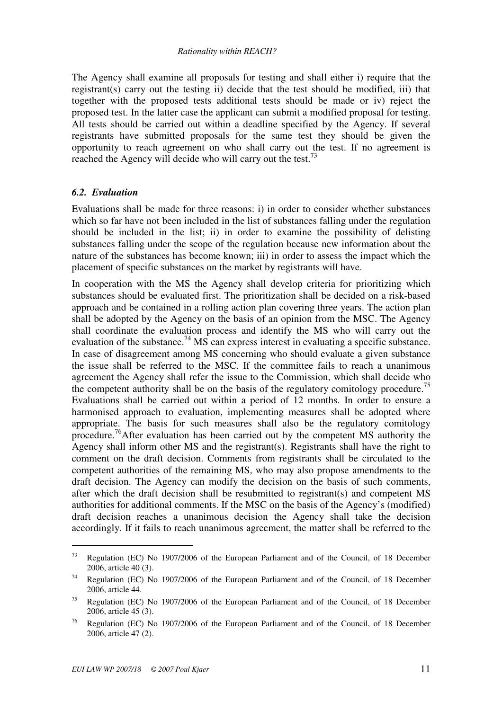The Agency shall examine all proposals for testing and shall either i) require that the registrant(s) carry out the testing ii) decide that the test should be modified, iii) that together with the proposed tests additional tests should be made or iv) reject the proposed test. In the latter case the applicant can submit a modified proposal for testing. All tests should be carried out within a deadline specified by the Agency. If several registrants have submitted proposals for the same test they should be given the opportunity to reach agreement on who shall carry out the test. If no agreement is reached the Agency will decide who will carry out the test.<sup>73</sup>

## *6.2. Evaluation*

Evaluations shall be made for three reasons: i) in order to consider whether substances which so far have not been included in the list of substances falling under the regulation should be included in the list; ii) in order to examine the possibility of delisting substances falling under the scope of the regulation because new information about the nature of the substances has become known; iii) in order to assess the impact which the placement of specific substances on the market by registrants will have.

In cooperation with the MS the Agency shall develop criteria for prioritizing which substances should be evaluated first. The prioritization shall be decided on a risk-based approach and be contained in a rolling action plan covering three years. The action plan shall be adopted by the Agency on the basis of an opinion from the MSC. The Agency shall coordinate the evaluation process and identify the MS who will carry out the evaluation of the substance.<sup>74</sup> MS can express interest in evaluating a specific substance. In case of disagreement among MS concerning who should evaluate a given substance the issue shall be referred to the MSC. If the committee fails to reach a unanimous agreement the Agency shall refer the issue to the Commission, which shall decide who the competent authority shall be on the basis of the regulatory comitology procedure.<sup>75</sup> Evaluations shall be carried out within a period of 12 months. In order to ensure a harmonised approach to evaluation, implementing measures shall be adopted where appropriate. The basis for such measures shall also be the regulatory comitology procedure.<sup>76</sup>After evaluation has been carried out by the competent MS authority the Agency shall inform other MS and the registrant(s). Registrants shall have the right to comment on the draft decision. Comments from registrants shall be circulated to the competent authorities of the remaining MS, who may also propose amendments to the draft decision. The Agency can modify the decision on the basis of such comments, after which the draft decision shall be resubmitted to registrant(s) and competent MS authorities for additional comments. If the MSC on the basis of the Agency's (modified) draft decision reaches a unanimous decision the Agency shall take the decision accordingly. If it fails to reach unanimous agreement, the matter shall be referred to the

<sup>73</sup> Regulation (EC) No 1907/2006 of the European Parliament and of the Council, of 18 December 2006, article 40 (3).

<sup>&</sup>lt;sup>74</sup> Regulation (EC) No 1907/2006 of the European Parliament and of the Council, of 18 December 2006, article 44.

<sup>&</sup>lt;sup>75</sup> Regulation (EC) No 1907/2006 of the European Parliament and of the Council, of 18 December 2006, article 45 (3).

<sup>76</sup> Regulation (EC) No 1907/2006 of the European Parliament and of the Council, of 18 December 2006, article 47 (2).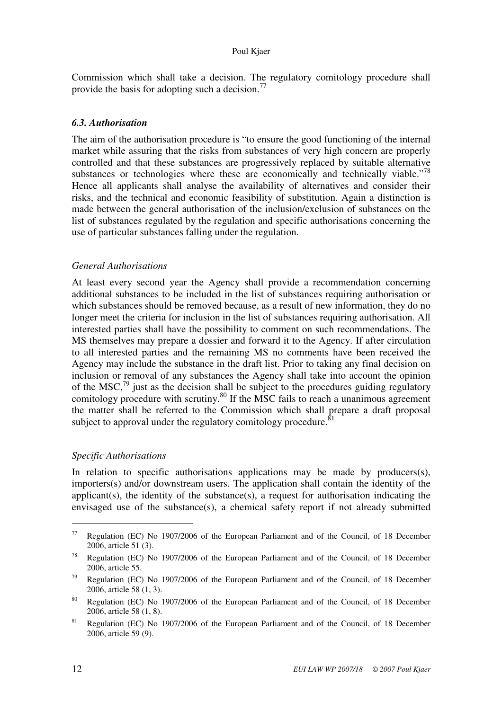Commission which shall take a decision. The regulatory comitology procedure shall provide the basis for adopting such a decision.<sup>77</sup>

## *6.3. Authorisation*

The aim of the authorisation procedure is "to ensure the good functioning of the internal market while assuring that the risks from substances of very high concern are properly controlled and that these substances are progressively replaced by suitable alternative substances or technologies where these are economically and technically viable."<sup>78</sup> Hence all applicants shall analyse the availability of alternatives and consider their risks, and the technical and economic feasibility of substitution. Again a distinction is made between the general authorisation of the inclusion/exclusion of substances on the list of substances regulated by the regulation and specific authorisations concerning the use of particular substances falling under the regulation.

#### *General Authorisations*

At least every second year the Agency shall provide a recommendation concerning additional substances to be included in the list of substances requiring authorisation or which substances should be removed because, as a result of new information, they do no longer meet the criteria for inclusion in the list of substances requiring authorisation. All interested parties shall have the possibility to comment on such recommendations. The MS themselves may prepare a dossier and forward it to the Agency. If after circulation to all interested parties and the remaining MS no comments have been received the Agency may include the substance in the draft list. Prior to taking any final decision on inclusion or removal of any substances the Agency shall take into account the opinion of the MSC, $^{79}$  just as the decision shall be subject to the procedures guiding regulatory comitology procedure with scrutiny.<sup>80</sup> If the MSC fails to reach a unanimous agreement the matter shall be referred to the Commission which shall prepare a draft proposal subject to approval under the regulatory comitology procedure.<sup>8</sup>

## *Specific Authorisations*

In relation to specific authorisations applications may be made by producers(s), importers(s) and/or downstream users. The application shall contain the identity of the applicant(s), the identity of the substance(s), a request for authorisation indicating the envisaged use of the substance(s), a chemical safety report if not already submitted

 $77$  Regulation (EC) No 1907/2006 of the European Parliament and of the Council, of 18 December 2006, article 51 (3).

<sup>78</sup> Regulation (EC) No 1907/2006 of the European Parliament and of the Council, of 18 December 2006, article 55.

<sup>&</sup>lt;sup>79</sup> Regulation (EC) No 1907/2006 of the European Parliament and of the Council, of 18 December 2006, article 58 (1, 3).

<sup>80</sup> Regulation (EC) No 1907/2006 of the European Parliament and of the Council, of 18 December 2006, article 58 (1, 8).

 $81$  Regulation (EC) No 1907/2006 of the European Parliament and of the Council, of 18 December 2006, article 59 (9).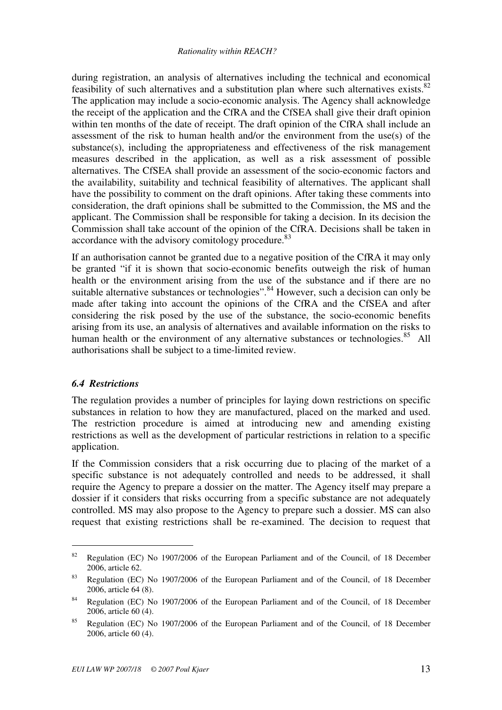during registration, an analysis of alternatives including the technical and economical feasibility of such alternatives and a substitution plan where such alternatives exists. $82$ The application may include a socio-economic analysis. The Agency shall acknowledge the receipt of the application and the CfRA and the CfSEA shall give their draft opinion within ten months of the date of receipt. The draft opinion of the CfRA shall include an assessment of the risk to human health and/or the environment from the use(s) of the substance(s), including the appropriateness and effectiveness of the risk management measures described in the application, as well as a risk assessment of possible alternatives. The CfSEA shall provide an assessment of the socio-economic factors and the availability, suitability and technical feasibility of alternatives. The applicant shall have the possibility to comment on the draft opinions. After taking these comments into consideration, the draft opinions shall be submitted to the Commission, the MS and the applicant. The Commission shall be responsible for taking a decision. In its decision the Commission shall take account of the opinion of the CfRA. Decisions shall be taken in accordance with the advisory comitology procedure.<sup>83</sup>

If an authorisation cannot be granted due to a negative position of the CfRA it may only be granted "if it is shown that socio-economic benefits outweigh the risk of human health or the environment arising from the use of the substance and if there are no suitable alternative substances or technologies".<sup>84</sup> However, such a decision can only be made after taking into account the opinions of the CfRA and the CfSEA and after considering the risk posed by the use of the substance, the socio-economic benefits arising from its use, an analysis of alternatives and available information on the risks to human health or the environment of any alternative substances or technologies.<sup>85</sup> All authorisations shall be subject to a time-limited review.

## *6.4 Restrictions*

 $\overline{a}$ 

The regulation provides a number of principles for laying down restrictions on specific substances in relation to how they are manufactured, placed on the marked and used. The restriction procedure is aimed at introducing new and amending existing restrictions as well as the development of particular restrictions in relation to a specific application.

If the Commission considers that a risk occurring due to placing of the market of a specific substance is not adequately controlled and needs to be addressed, it shall require the Agency to prepare a dossier on the matter. The Agency itself may prepare a dossier if it considers that risks occurring from a specific substance are not adequately controlled. MS may also propose to the Agency to prepare such a dossier. MS can also request that existing restrictions shall be re-examined. The decision to request that

<sup>&</sup>lt;sup>82</sup> Regulation (EC) No 1907/2006 of the European Parliament and of the Council, of 18 December 2006, article 62.

<sup>&</sup>lt;sup>83</sup> Regulation (EC) No 1907/2006 of the European Parliament and of the Council, of 18 December 2006, article 64 (8).

<sup>84</sup> Regulation (EC) No 1907/2006 of the European Parliament and of the Council, of 18 December 2006, article 60 (4).

<sup>&</sup>lt;sup>85</sup> Regulation (EC) No 1907/2006 of the European Parliament and of the Council, of 18 December 2006, article 60 (4).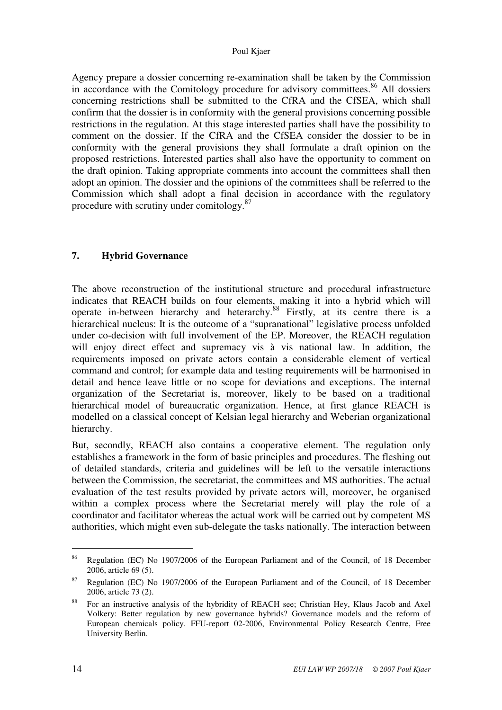#### Poul Kjaer

Agency prepare a dossier concerning re-examination shall be taken by the Commission in accordance with the Comitology procedure for advisory committees. <sup>86</sup> All dossiers concerning restrictions shall be submitted to the CfRA and the CfSEA, which shall confirm that the dossier is in conformity with the general provisions concerning possible restrictions in the regulation. At this stage interested parties shall have the possibility to comment on the dossier. If the CfRA and the CfSEA consider the dossier to be in conformity with the general provisions they shall formulate a draft opinion on the proposed restrictions. Interested parties shall also have the opportunity to comment on the draft opinion. Taking appropriate comments into account the committees shall then adopt an opinion. The dossier and the opinions of the committees shall be referred to the Commission which shall adopt a final decision in accordance with the regulatory procedure with scrutiny under comitology.<sup>87</sup>

## **7. Hybrid Governance**

The above reconstruction of the institutional structure and procedural infrastructure indicates that REACH builds on four elements, making it into a hybrid which will operate in-between hierarchy and heterarchy. $88$  Firstly, at its centre there is a hierarchical nucleus: It is the outcome of a "supranational" legislative process unfolded under co-decision with full involvement of the EP. Moreover, the REACH regulation will enjoy direct effect and supremacy vis à vis national law. In addition, the requirements imposed on private actors contain a considerable element of vertical command and control; for example data and testing requirements will be harmonised in detail and hence leave little or no scope for deviations and exceptions. The internal organization of the Secretariat is, moreover, likely to be based on a traditional hierarchical model of bureaucratic organization. Hence, at first glance REACH is modelled on a classical concept of Kelsian legal hierarchy and Weberian organizational hierarchy.

But, secondly, REACH also contains a cooperative element. The regulation only establishes a framework in the form of basic principles and procedures. The fleshing out of detailed standards, criteria and guidelines will be left to the versatile interactions between the Commission, the secretariat, the committees and MS authorities. The actual evaluation of the test results provided by private actors will, moreover, be organised within a complex process where the Secretariat merely will play the role of a coordinator and facilitator whereas the actual work will be carried out by competent MS authorities, which might even sub-delegate the tasks nationally. The interaction between

<sup>86</sup> Regulation (EC) No 1907/2006 of the European Parliament and of the Council, of 18 December 2006, article 69 (5).

<sup>&</sup>lt;sup>87</sup> Regulation (EC) No 1907/2006 of the European Parliament and of the Council, of 18 December 2006, article 73 (2).

<sup>&</sup>lt;sup>88</sup> For an instructive analysis of the hybridity of REACH see; Christian Hey, Klaus Jacob and Axel Volkery: Better regulation by new governance hybrids? Governance models and the reform of European chemicals policy. FFU-report 02-2006, Environmental Policy Research Centre, Free University Berlin.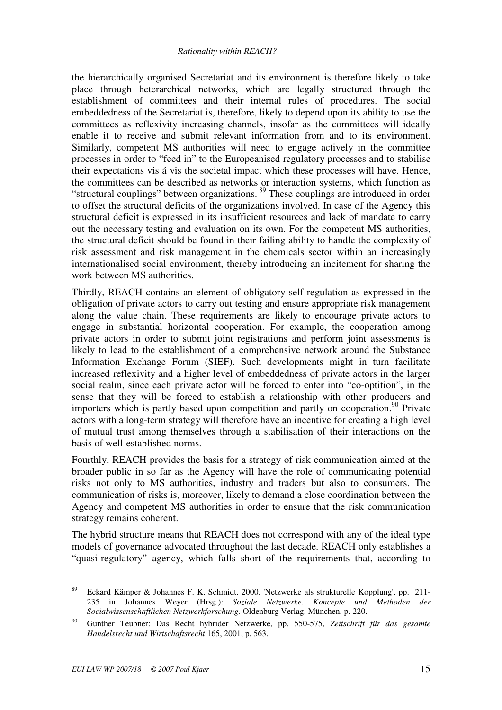the hierarchically organised Secretariat and its environment is therefore likely to take place through heterarchical networks, which are legally structured through the establishment of committees and their internal rules of procedures. The social embeddedness of the Secretariat is, therefore, likely to depend upon its ability to use the committees as reflexivity increasing channels, insofar as the committees will ideally enable it to receive and submit relevant information from and to its environment. Similarly, competent MS authorities will need to engage actively in the committee processes in order to "feed in" to the Europeanised regulatory processes and to stabilise their expectations vis á vis the societal impact which these processes will have. Hence, the committees can be described as networks or interaction systems, which function as "structural couplings" between organizations. <sup>89</sup> These couplings are introduced in order to offset the structural deficits of the organizations involved. In case of the Agency this structural deficit is expressed in its insufficient resources and lack of mandate to carry out the necessary testing and evaluation on its own. For the competent MS authorities, the structural deficit should be found in their failing ability to handle the complexity of risk assessment and risk management in the chemicals sector within an increasingly internationalised social environment, thereby introducing an incitement for sharing the work between MS authorities.

Thirdly, REACH contains an element of obligatory self-regulation as expressed in the obligation of private actors to carry out testing and ensure appropriate risk management along the value chain. These requirements are likely to encourage private actors to engage in substantial horizontal cooperation. For example, the cooperation among private actors in order to submit joint registrations and perform joint assessments is likely to lead to the establishment of a comprehensive network around the Substance Information Exchange Forum (SIEF). Such developments might in turn facilitate increased reflexivity and a higher level of embeddedness of private actors in the larger social realm, since each private actor will be forced to enter into "co-optition", in the sense that they will be forced to establish a relationship with other producers and importers which is partly based upon competition and partly on cooperation.<sup>90</sup> Private actors with a long-term strategy will therefore have an incentive for creating a high level of mutual trust among themselves through a stabilisation of their interactions on the basis of well-established norms.

Fourthly, REACH provides the basis for a strategy of risk communication aimed at the broader public in so far as the Agency will have the role of communicating potential risks not only to MS authorities, industry and traders but also to consumers. The communication of risks is, moreover, likely to demand a close coordination between the Agency and competent MS authorities in order to ensure that the risk communication strategy remains coherent.

The hybrid structure means that REACH does not correspond with any of the ideal type models of governance advocated throughout the last decade. REACH only establishes a "quasi-regulatory" agency, which falls short of the requirements that, according to

<sup>89</sup> Eckard Kämper & Johannes F. K. Schmidt, 2000. 'Netzwerke als strukturelle Kopplung', pp. 211- 235 in Johannes Weyer (Hrsg.): *Soziale Netzwerke. Koncepte und Methoden der Socialwissenschaftlichen Netzwerkforschung*. Oldenburg Verlag. München, p. 220.

<sup>90</sup> Gunther Teubner: Das Recht hybrider Netzwerke, pp. 550-575, *Zeitschrift für das gesamte Handelsrecht und Wirtschaftsrecht* 165, 2001, p. 563.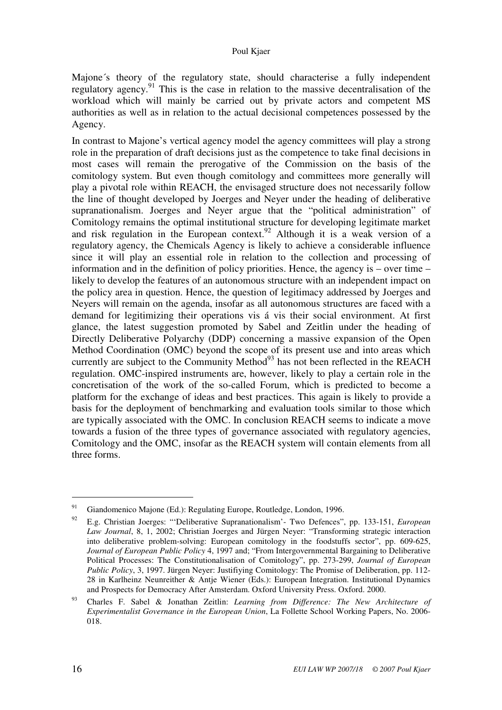#### Poul Kjaer

Majone´s theory of the regulatory state, should characterise a fully independent regulatory agency.<sup>91</sup> This is the case in relation to the massive decentralisation of the workload which will mainly be carried out by private actors and competent MS authorities as well as in relation to the actual decisional competences possessed by the Agency.

In contrast to Majone's vertical agency model the agency committees will play a strong role in the preparation of draft decisions just as the competence to take final decisions in most cases will remain the prerogative of the Commission on the basis of the comitology system. But even though comitology and committees more generally will play a pivotal role within REACH, the envisaged structure does not necessarily follow the line of thought developed by Joerges and Neyer under the heading of deliberative supranationalism. Joerges and Neyer argue that the "political administration" of Comitology remains the optimal institutional structure for developing legitimate market and risk regulation in the European context.<sup>92</sup> Although it is a weak version of a regulatory agency, the Chemicals Agency is likely to achieve a considerable influence since it will play an essential role in relation to the collection and processing of information and in the definition of policy priorities. Hence, the agency is – over time – likely to develop the features of an autonomous structure with an independent impact on the policy area in question. Hence, the question of legitimacy addressed by Joerges and Neyers will remain on the agenda, insofar as all autonomous structures are faced with a demand for legitimizing their operations vis á vis their social environment. At first glance, the latest suggestion promoted by Sabel and Zeitlin under the heading of Directly Deliberative Polyarchy (DDP) concerning a massive expansion of the Open Method Coordination (OMC) beyond the scope of its present use and into areas which currently are subject to the Community Method $93$  has not been reflected in the REACH regulation. OMC-inspired instruments are, however, likely to play a certain role in the concretisation of the work of the so-called Forum, which is predicted to become a platform for the exchange of ideas and best practices. This again is likely to provide a basis for the deployment of benchmarking and evaluation tools similar to those which are typically associated with the OMC. In conclusion REACH seems to indicate a move towards a fusion of the three types of governance associated with regulatory agencies, Comitology and the OMC, insofar as the REACH system will contain elements from all three forms.

<sup>91</sup> Giandomenico Majone (Ed.): Regulating Europe, Routledge, London, 1996.

<sup>92</sup> E.g. Christian Joerges: "'Deliberative Supranationalism'- Two Defences", pp. 133-151, *European Law Journal*, 8, 1, 2002; Christian Joerges and Jürgen Neyer: "Transforming strategic interaction into deliberative problem-solving: European comitology in the foodstuffs sector", pp. 609-625, *Journal of European Public Policy* 4, 1997 and; "From Intergovernmental Bargaining to Deliberative Political Processes: The Constitutionalisation of Comitology", pp. 273-299, *Journal of European Public Policy*, 3, 1997. Jürgen Neyer: Justifiying Comitology: The Promise of Deliberation, pp. 112- 28 in Karlheinz Neunreither & Antje Wiener (Eds.): European Integration. Institutional Dynamics and Prospects for Democracy After Amsterdam. Oxford University Press. Oxford. 2000.

<sup>93</sup> Charles F. Sabel & Jonathan Zeitlin: *Learning from Difference: The New Architecture of Experimentalist Governance in the European Union*, La Follette School Working Papers, No. 2006- 018.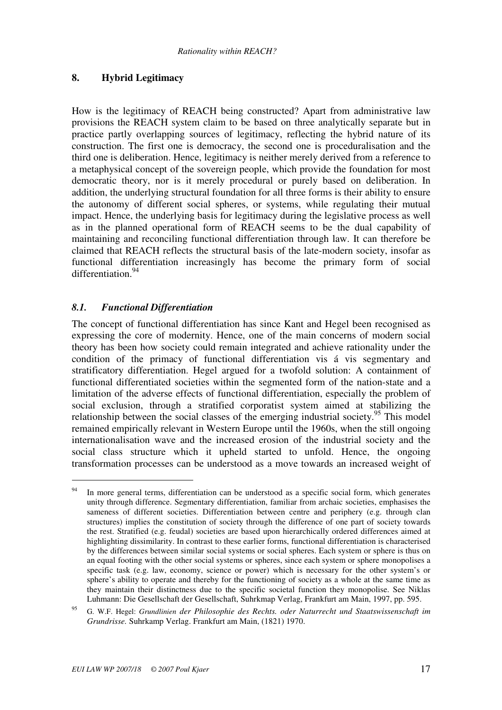## **8. Hybrid Legitimacy**

How is the legitimacy of REACH being constructed? Apart from administrative law provisions the REACH system claim to be based on three analytically separate but in practice partly overlapping sources of legitimacy, reflecting the hybrid nature of its construction. The first one is democracy, the second one is proceduralisation and the third one is deliberation. Hence, legitimacy is neither merely derived from a reference to a metaphysical concept of the sovereign people, which provide the foundation for most democratic theory, nor is it merely procedural or purely based on deliberation. In addition, the underlying structural foundation for all three forms is their ability to ensure the autonomy of different social spheres, or systems, while regulating their mutual impact. Hence, the underlying basis for legitimacy during the legislative process as well as in the planned operational form of REACH seems to be the dual capability of maintaining and reconciling functional differentiation through law. It can therefore be claimed that REACH reflects the structural basis of the late-modern society, insofar as functional differentiation increasingly has become the primary form of social differentiation<sup>94</sup>

## *8.1. Functional Differentiation*

 $\overline{a}$ 

The concept of functional differentiation has since Kant and Hegel been recognised as expressing the core of modernity. Hence, one of the main concerns of modern social theory has been how society could remain integrated and achieve rationality under the condition of the primacy of functional differentiation vis á vis segmentary and stratificatory differentiation. Hegel argued for a twofold solution: A containment of functional differentiated societies within the segmented form of the nation-state and a limitation of the adverse effects of functional differentiation, especially the problem of social exclusion, through a stratified corporatist system aimed at stabilizing the relationship between the social classes of the emerging industrial society.<sup>95</sup> This model remained empirically relevant in Western Europe until the 1960s, when the still ongoing internationalisation wave and the increased erosion of the industrial society and the social class structure which it upheld started to unfold. Hence, the ongoing transformation processes can be understood as a move towards an increased weight of

<sup>&</sup>lt;sup>94</sup> In more general terms, differentiation can be understood as a specific social form, which generates unity through difference. Segmentary differentiation, familiar from archaic societies, emphasises the sameness of different societies. Differentiation between centre and periphery (e.g. through clan structures) implies the constitution of society through the difference of one part of society towards the rest. Stratified (e.g. feudal) societies are based upon hierarchically ordered differences aimed at highlighting dissimilarity. In contrast to these earlier forms, functional differentiation is characterised by the differences between similar social systems or social spheres. Each system or sphere is thus on an equal footing with the other social systems or spheres, since each system or sphere monopolises a specific task (e.g. law, economy, science or power) which is necessary for the other system's or sphere's ability to operate and thereby for the functioning of society as a whole at the same time as they maintain their distinctness due to the specific societal function they monopolise. See Niklas Luhmann: Die Gesellschaft der Gesellschaft, Suhrkmap Verlag, Frankfurt am Main, 1997, pp. 595.

<sup>95</sup> G. W.F. Hegel: *Grundlinien der Philosophie des Rechts. oder Naturrecht und Staatswissenschaft im Grundrisse.* Suhrkamp Verlag. Frankfurt am Main, (1821) 1970.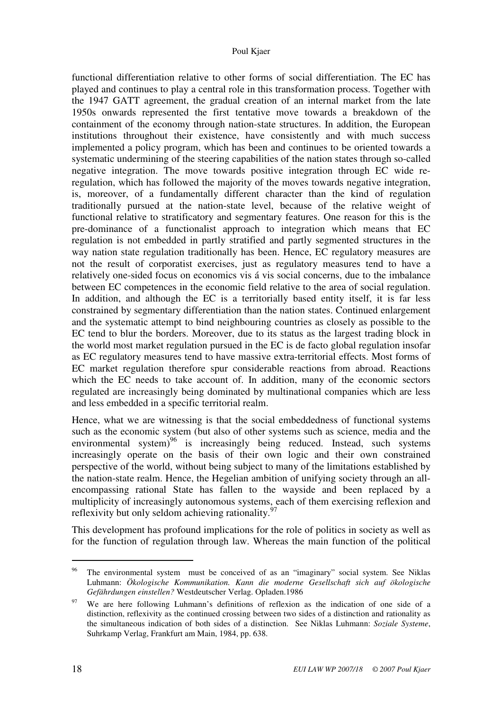functional differentiation relative to other forms of social differentiation. The EC has played and continues to play a central role in this transformation process. Together with the 1947 GATT agreement, the gradual creation of an internal market from the late 1950s onwards represented the first tentative move towards a breakdown of the containment of the economy through nation-state structures. In addition, the European institutions throughout their existence, have consistently and with much success implemented a policy program, which has been and continues to be oriented towards a systematic undermining of the steering capabilities of the nation states through so-called negative integration. The move towards positive integration through EC wide reregulation, which has followed the majority of the moves towards negative integration, is, moreover, of a fundamentally different character than the kind of regulation traditionally pursued at the nation-state level, because of the relative weight of functional relative to stratificatory and segmentary features. One reason for this is the pre-dominance of a functionalist approach to integration which means that EC regulation is not embedded in partly stratified and partly segmented structures in the way nation state regulation traditionally has been. Hence, EC regulatory measures are not the result of corporatist exercises, just as regulatory measures tend to have a relatively one-sided focus on economics vis á vis social concerns, due to the imbalance between EC competences in the economic field relative to the area of social regulation. In addition, and although the EC is a territorially based entity itself, it is far less constrained by segmentary differentiation than the nation states. Continued enlargement and the systematic attempt to bind neighbouring countries as closely as possible to the EC tend to blur the borders. Moreover, due to its status as the largest trading block in the world most market regulation pursued in the EC is de facto global regulation insofar as EC regulatory measures tend to have massive extra-territorial effects. Most forms of EC market regulation therefore spur considerable reactions from abroad. Reactions which the EC needs to take account of. In addition, many of the economic sectors regulated are increasingly being dominated by multinational companies which are less and less embedded in a specific territorial realm.

Hence, what we are witnessing is that the social embeddedness of functional systems such as the economic system (but also of other systems such as science, media and the environmental system $)^{96}$  is increasingly being reduced. Instead, such systems increasingly operate on the basis of their own logic and their own constrained perspective of the world, without being subject to many of the limitations established by the nation-state realm. Hence, the Hegelian ambition of unifying society through an allencompassing rational State has fallen to the wayside and been replaced by a multiplicity of increasingly autonomous systems, each of them exercising reflexion and reflexivity but only seldom achieving rationality.  $97$ 

This development has profound implications for the role of politics in society as well as for the function of regulation through law. Whereas the main function of the political

<sup>&</sup>lt;sup>96</sup> The environmental system must be conceived of as an "imaginary" social system. See Niklas Luhmann: *Ökologische Kommunikation. Kann die moderne Gesellschaft sich auf ökologische Gefährdungen einstellen?* Westdeutscher Verlag. Opladen.1986

We are here following Luhmann's definitions of reflexion as the indication of one side of a distinction, reflexivity as the continued crossing between two sides of a distinction and rationality as the simultaneous indication of both sides of a distinction. See Niklas Luhmann: *Soziale Systeme*, Suhrkamp Verlag, Frankfurt am Main, 1984, pp. 638.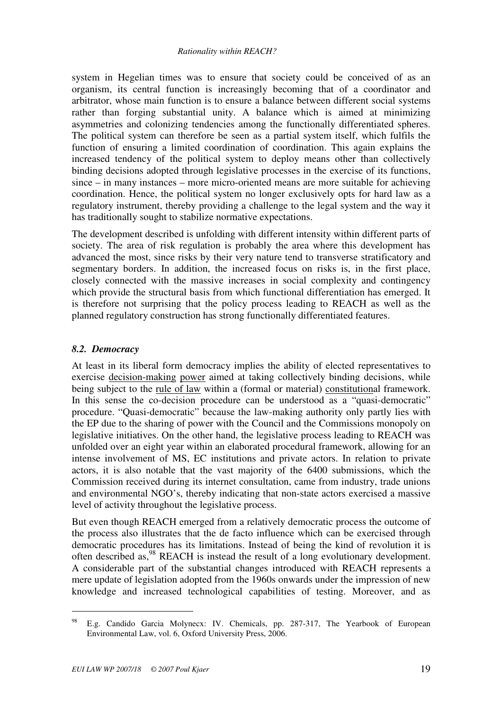system in Hegelian times was to ensure that society could be conceived of as an organism, its central function is increasingly becoming that of a coordinator and arbitrator, whose main function is to ensure a balance between different social systems rather than forging substantial unity. A balance which is aimed at minimizing asymmetries and colonizing tendencies among the functionally differentiated spheres. The political system can therefore be seen as a partial system itself, which fulfils the function of ensuring a limited coordination of coordination. This again explains the increased tendency of the political system to deploy means other than collectively binding decisions adopted through legislative processes in the exercise of its functions, since – in many instances – more micro-oriented means are more suitable for achieving coordination. Hence, the political system no longer exclusively opts for hard law as a regulatory instrument, thereby providing a challenge to the legal system and the way it has traditionally sought to stabilize normative expectations.

The development described is unfolding with different intensity within different parts of society. The area of risk regulation is probably the area where this development has advanced the most, since risks by their very nature tend to transverse stratificatory and segmentary borders. In addition, the increased focus on risks is, in the first place, closely connected with the massive increases in social complexity and contingency which provide the structural basis from which functional differentiation has emerged. It is therefore not surprising that the policy process leading to REACH as well as the planned regulatory construction has strong functionally differentiated features.

## *8.2. Democracy*

At least in its liberal form democracy implies the ability of elected representatives to exercise decision-making power aimed at taking collectively binding decisions, while being subject to the <u>rule of law</u> within a (formal or material) constitutional framework. In this sense the co-decision procedure can be understood as a "quasi-democratic" procedure. "Quasi-democratic" because the law-making authority only partly lies with the EP due to the sharing of power with the Council and the Commissions monopoly on legislative initiatives. On the other hand, the legislative process leading to REACH was unfolded over an eight year within an elaborated procedural framework, allowing for an intense involvement of MS, EC institutions and private actors. In relation to private actors, it is also notable that the vast majority of the 6400 submissions, which the Commission received during its internet consultation, came from industry, trade unions and environmental NGO's, thereby indicating that non-state actors exercised a massive level of activity throughout the legislative process.

But even though REACH emerged from a relatively democratic process the outcome of the process also illustrates that the de facto influence which can be exercised through democratic procedures has its limitations. Instead of being the kind of revolution it is often described as,<sup>98</sup> REACH is instead the result of a long evolutionary development. A considerable part of the substantial changes introduced with REACH represents a mere update of legislation adopted from the 1960s onwards under the impression of new knowledge and increased technological capabilities of testing. Moreover, and as

<sup>98</sup> E.g. Candido Garcia Molynecx: IV. Chemicals, pp. 287-317, The Yearbook of European Environmental Law, vol. 6, Oxford University Press, 2006.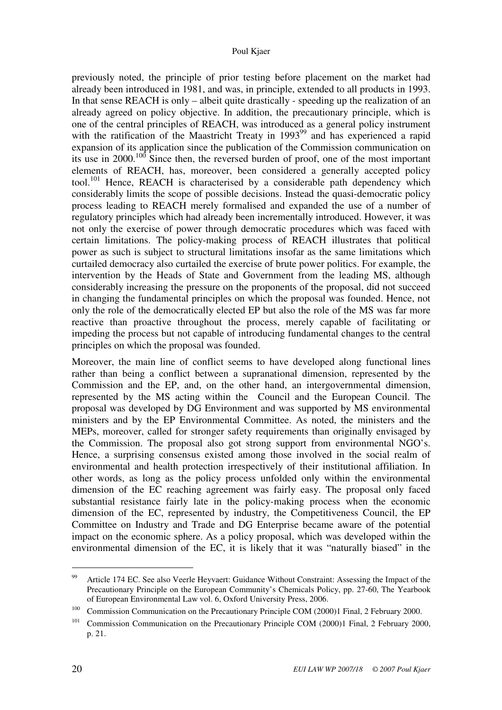previously noted, the principle of prior testing before placement on the market had already been introduced in 1981, and was, in principle, extended to all products in 1993. In that sense REACH is only – albeit quite drastically - speeding up the realization of an already agreed on policy objective. In addition, the precautionary principle, which is one of the central principles of REACH, was introduced as a general policy instrument with the ratification of the Maastricht Treaty in  $1993^{99}$  and has experienced a rapid expansion of its application since the publication of the Commission communication on its use in 2000.<sup>100</sup> Since then, the reversed burden of proof, one of the most important elements of REACH, has, moreover, been considered a generally accepted policy tool.<sup>101</sup> Hence, REACH is characterised by a considerable path dependency which considerably limits the scope of possible decisions. Instead the quasi-democratic policy process leading to REACH merely formalised and expanded the use of a number of regulatory principles which had already been incrementally introduced. However, it was not only the exercise of power through democratic procedures which was faced with certain limitations. The policy-making process of REACH illustrates that political power as such is subject to structural limitations insofar as the same limitations which curtailed democracy also curtailed the exercise of brute power politics. For example, the intervention by the Heads of State and Government from the leading MS, although considerably increasing the pressure on the proponents of the proposal, did not succeed in changing the fundamental principles on which the proposal was founded. Hence, not only the role of the democratically elected EP but also the role of the MS was far more reactive than proactive throughout the process, merely capable of facilitating or impeding the process but not capable of introducing fundamental changes to the central principles on which the proposal was founded.

Moreover, the main line of conflict seems to have developed along functional lines rather than being a conflict between a supranational dimension, represented by the Commission and the EP, and, on the other hand, an intergovernmental dimension, represented by the MS acting within the Council and the European Council. The proposal was developed by DG Environment and was supported by MS environmental ministers and by the EP Environmental Committee. As noted, the ministers and the MEPs, moreover, called for stronger safety requirements than originally envisaged by the Commission. The proposal also got strong support from environmental NGO's. Hence, a surprising consensus existed among those involved in the social realm of environmental and health protection irrespectively of their institutional affiliation. In other words, as long as the policy process unfolded only within the environmental dimension of the EC reaching agreement was fairly easy. The proposal only faced substantial resistance fairly late in the policy-making process when the economic dimension of the EC, represented by industry, the Competitiveness Council, the EP Committee on Industry and Trade and DG Enterprise became aware of the potential impact on the economic sphere. As a policy proposal, which was developed within the environmental dimension of the EC, it is likely that it was "naturally biased" in the

<sup>&</sup>lt;sup>99</sup> Article 174 EC. See also Veerle Heyvaert: Guidance Without Constraint: Assessing the Impact of the Precautionary Principle on the European Community's Chemicals Policy, pp. 27-60, The Yearbook of European Environmental Law vol. 6, Oxford University Press, 2006.

<sup>&</sup>lt;sup>100</sup> Commission Communication on the Precautionary Principle COM (2000)1 Final, 2 February 2000.

<sup>&</sup>lt;sup>101</sup> Commission Communication on the Precautionary Principle COM (2000)1 Final, 2 February 2000, p. 21.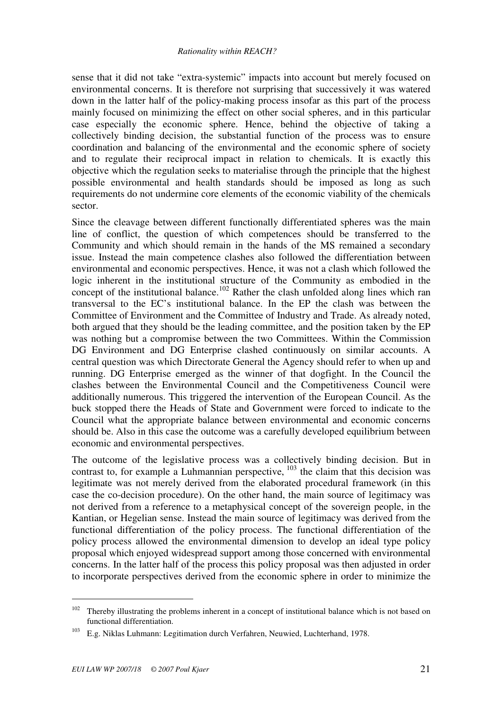sense that it did not take "extra-systemic" impacts into account but merely focused on environmental concerns. It is therefore not surprising that successively it was watered down in the latter half of the policy-making process insofar as this part of the process mainly focused on minimizing the effect on other social spheres, and in this particular case especially the economic sphere. Hence, behind the objective of taking a collectively binding decision, the substantial function of the process was to ensure coordination and balancing of the environmental and the economic sphere of society and to regulate their reciprocal impact in relation to chemicals. It is exactly this objective which the regulation seeks to materialise through the principle that the highest possible environmental and health standards should be imposed as long as such requirements do not undermine core elements of the economic viability of the chemicals sector.

Since the cleavage between different functionally differentiated spheres was the main line of conflict, the question of which competences should be transferred to the Community and which should remain in the hands of the MS remained a secondary issue. Instead the main competence clashes also followed the differentiation between environmental and economic perspectives. Hence, it was not a clash which followed the logic inherent in the institutional structure of the Community as embodied in the concept of the institutional balance.<sup>102</sup> Rather the clash unfolded along lines which ran transversal to the EC's institutional balance. In the EP the clash was between the Committee of Environment and the Committee of Industry and Trade. As already noted, both argued that they should be the leading committee, and the position taken by the EP was nothing but a compromise between the two Committees. Within the Commission DG Environment and DG Enterprise clashed continuously on similar accounts. A central question was which Directorate General the Agency should refer to when up and running. DG Enterprise emerged as the winner of that dogfight. In the Council the clashes between the Environmental Council and the Competitiveness Council were additionally numerous. This triggered the intervention of the European Council. As the buck stopped there the Heads of State and Government were forced to indicate to the Council what the appropriate balance between environmental and economic concerns should be. Also in this case the outcome was a carefully developed equilibrium between economic and environmental perspectives.

The outcome of the legislative process was a collectively binding decision. But in contrast to, for example a Luhmannian perspective,  $103$  the claim that this decision was legitimate was not merely derived from the elaborated procedural framework (in this case the co-decision procedure). On the other hand, the main source of legitimacy was not derived from a reference to a metaphysical concept of the sovereign people, in the Kantian, or Hegelian sense. Instead the main source of legitimacy was derived from the functional differentiation of the policy process. The functional differentiation of the policy process allowed the environmental dimension to develop an ideal type policy proposal which enjoyed widespread support among those concerned with environmental concerns. In the latter half of the process this policy proposal was then adjusted in order to incorporate perspectives derived from the economic sphere in order to minimize the

<sup>&</sup>lt;sup>102</sup> Thereby illustrating the problems inherent in a concept of institutional balance which is not based on functional differentiation.

<sup>103</sup> E.g. Niklas Luhmann: Legitimation durch Verfahren, Neuwied, Luchterhand, 1978.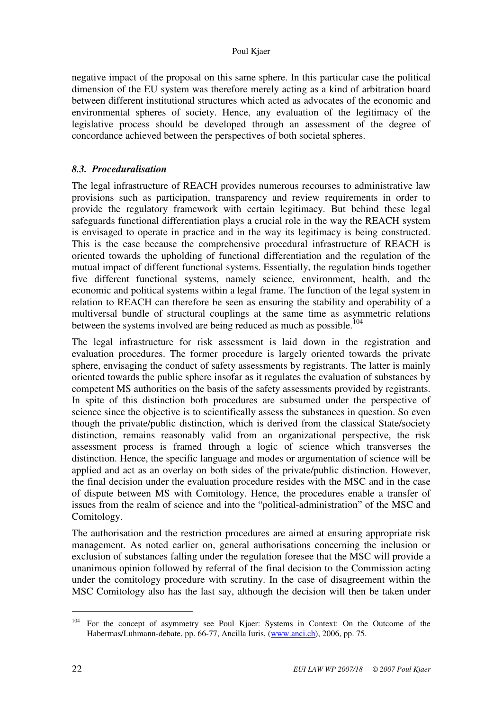#### Poul Kjaer

negative impact of the proposal on this same sphere. In this particular case the political dimension of the EU system was therefore merely acting as a kind of arbitration board between different institutional structures which acted as advocates of the economic and environmental spheres of society. Hence, any evaluation of the legitimacy of the legislative process should be developed through an assessment of the degree of concordance achieved between the perspectives of both societal spheres.

## *8.3. Proceduralisation*

The legal infrastructure of REACH provides numerous recourses to administrative law provisions such as participation, transparency and review requirements in order to provide the regulatory framework with certain legitimacy. But behind these legal safeguards functional differentiation plays a crucial role in the way the REACH system is envisaged to operate in practice and in the way its legitimacy is being constructed. This is the case because the comprehensive procedural infrastructure of REACH is oriented towards the upholding of functional differentiation and the regulation of the mutual impact of different functional systems. Essentially, the regulation binds together five different functional systems, namely science, environment, health, and the economic and political systems within a legal frame. The function of the legal system in relation to REACH can therefore be seen as ensuring the stability and operability of a multiversal bundle of structural couplings at the same time as asymmetric relations between the systems involved are being reduced as much as possible.<sup>104</sup>

The legal infrastructure for risk assessment is laid down in the registration and evaluation procedures. The former procedure is largely oriented towards the private sphere, envisaging the conduct of safety assessments by registrants. The latter is mainly oriented towards the public sphere insofar as it regulates the evaluation of substances by competent MS authorities on the basis of the safety assessments provided by registrants. In spite of this distinction both procedures are subsumed under the perspective of science since the objective is to scientifically assess the substances in question. So even though the private/public distinction, which is derived from the classical State/society distinction, remains reasonably valid from an organizational perspective, the risk assessment process is framed through a logic of science which transverses the distinction. Hence, the specific language and modes or argumentation of science will be applied and act as an overlay on both sides of the private/public distinction. However, the final decision under the evaluation procedure resides with the MSC and in the case of dispute between MS with Comitology. Hence, the procedures enable a transfer of issues from the realm of science and into the "political-administration" of the MSC and Comitology.

The authorisation and the restriction procedures are aimed at ensuring appropriate risk management. As noted earlier on, general authorisations concerning the inclusion or exclusion of substances falling under the regulation foresee that the MSC will provide a unanimous opinion followed by referral of the final decision to the Commission acting under the comitology procedure with scrutiny. In the case of disagreement within the MSC Comitology also has the last say, although the decision will then be taken under

<sup>&</sup>lt;sup>104</sup> For the concept of asymmetry see Poul Kjaer: Systems in Context: On the Outcome of the Habermas/Luhmann-debate, pp. 66-77, Ancilla Iuris, (www.anci.ch), 2006, pp. 75.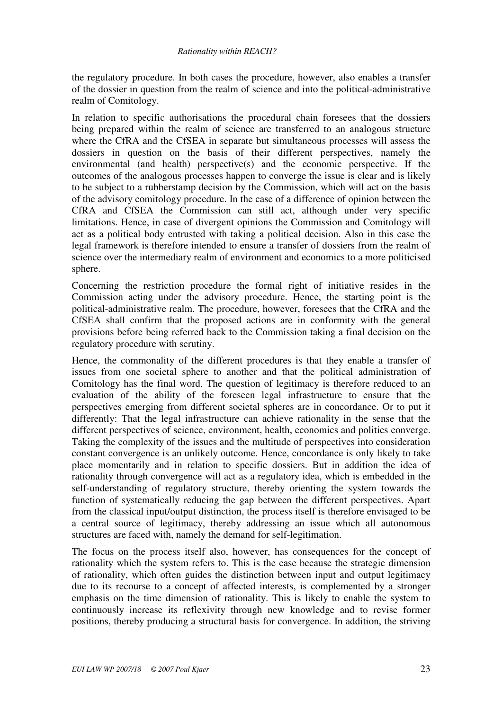the regulatory procedure. In both cases the procedure, however, also enables a transfer of the dossier in question from the realm of science and into the political-administrative realm of Comitology.

In relation to specific authorisations the procedural chain foresees that the dossiers being prepared within the realm of science are transferred to an analogous structure where the CfRA and the CfSEA in separate but simultaneous processes will assess the dossiers in question on the basis of their different perspectives, namely the environmental (and health) perspective(s) and the economic perspective. If the outcomes of the analogous processes happen to converge the issue is clear and is likely to be subject to a rubberstamp decision by the Commission, which will act on the basis of the advisory comitology procedure. In the case of a difference of opinion between the CfRA and CfSEA the Commission can still act, although under very specific limitations. Hence, in case of divergent opinions the Commission and Comitology will act as a political body entrusted with taking a political decision. Also in this case the legal framework is therefore intended to ensure a transfer of dossiers from the realm of science over the intermediary realm of environment and economics to a more politicised sphere.

Concerning the restriction procedure the formal right of initiative resides in the Commission acting under the advisory procedure. Hence, the starting point is the political-administrative realm. The procedure, however, foresees that the CfRA and the CfSEA shall confirm that the proposed actions are in conformity with the general provisions before being referred back to the Commission taking a final decision on the regulatory procedure with scrutiny.

Hence, the commonality of the different procedures is that they enable a transfer of issues from one societal sphere to another and that the political administration of Comitology has the final word. The question of legitimacy is therefore reduced to an evaluation of the ability of the foreseen legal infrastructure to ensure that the perspectives emerging from different societal spheres are in concordance. Or to put it differently: That the legal infrastructure can achieve rationality in the sense that the different perspectives of science, environment, health, economics and politics converge. Taking the complexity of the issues and the multitude of perspectives into consideration constant convergence is an unlikely outcome. Hence, concordance is only likely to take place momentarily and in relation to specific dossiers. But in addition the idea of rationality through convergence will act as a regulatory idea, which is embedded in the self-understanding of regulatory structure, thereby orienting the system towards the function of systematically reducing the gap between the different perspectives. Apart from the classical input/output distinction, the process itself is therefore envisaged to be a central source of legitimacy, thereby addressing an issue which all autonomous structures are faced with, namely the demand for self-legitimation.

The focus on the process itself also, however, has consequences for the concept of rationality which the system refers to. This is the case because the strategic dimension of rationality, which often guides the distinction between input and output legitimacy due to its recourse to a concept of affected interests, is complemented by a stronger emphasis on the time dimension of rationality. This is likely to enable the system to continuously increase its reflexivity through new knowledge and to revise former positions, thereby producing a structural basis for convergence. In addition, the striving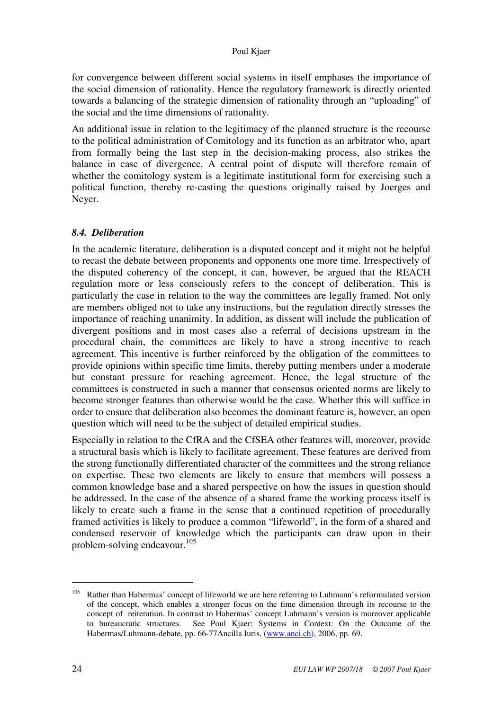for convergence between different social systems in itself emphases the importance of the social dimension of rationality. Hence the regulatory framework is directly oriented towards a balancing of the strategic dimension of rationality through an "uploading" of the social and the time dimensions of rationality.

An additional issue in relation to the legitimacy of the planned structure is the recourse to the political administration of Comitology and its function as an arbitrator who, apart from formally being the last step in the decision-making process, also strikes the balance in case of divergence. A central point of dispute will therefore remain of whether the comitology system is a legitimate institutional form for exercising such a political function, thereby re-casting the questions originally raised by Joerges and Neyer.

## *8.4. Deliberation*

In the academic literature, deliberation is a disputed concept and it might not be helpful to recast the debate between proponents and opponents one more time. Irrespectively of the disputed coherency of the concept, it can, however, be argued that the REACH regulation more or less consciously refers to the concept of deliberation. This is particularly the case in relation to the way the committees are legally framed. Not only are members obliged not to take any instructions, but the regulation directly stresses the importance of reaching unanimity. In addition, as dissent will include the publication of divergent positions and in most cases also a referral of decisions upstream in the procedural chain, the committees are likely to have a strong incentive to reach agreement. This incentive is further reinforced by the obligation of the committees to provide opinions within specific time limits, thereby putting members under a moderate but constant pressure for reaching agreement. Hence, the legal structure of the committees is constructed in such a manner that consensus oriented norms are likely to become stronger features than otherwise would be the case. Whether this will suffice in order to ensure that deliberation also becomes the dominant feature is, however, an open question which will need to be the subject of detailed empirical studies.

Especially in relation to the CfRA and the CfSEA other features will, moreover, provide a structural basis which is likely to facilitate agreement. These features are derived from the strong functionally differentiated character of the committees and the strong reliance on expertise. These two elements are likely to ensure that members will possess a common knowledge base and a shared perspective on how the issues in question should be addressed. In the case of the absence of a shared frame the working process itself is likely to create such a frame in the sense that a continued repetition of procedurally framed activities is likely to produce a common "lifeworld", in the form of a shared and condensed reservoir of knowledge which the participants can draw upon in their problem-solving endeavour.<sup>105</sup>

Rather than Habermas' concept of lifeworld we are here referring to Luhmann's reformulated version of the concept, which enables a stronger focus on the time dimension through its recourse to the concept of reiteration. In contrast to Habermas' concept Luhmann's version is moreover applicable to bureaucratic structures. See Poul Kjaer: Systems in Context: On the Outcome of the Habermas/Luhmann-debate, pp. 66-77Ancilla Iuris, (www.anci.ch), 2006, pp. 69.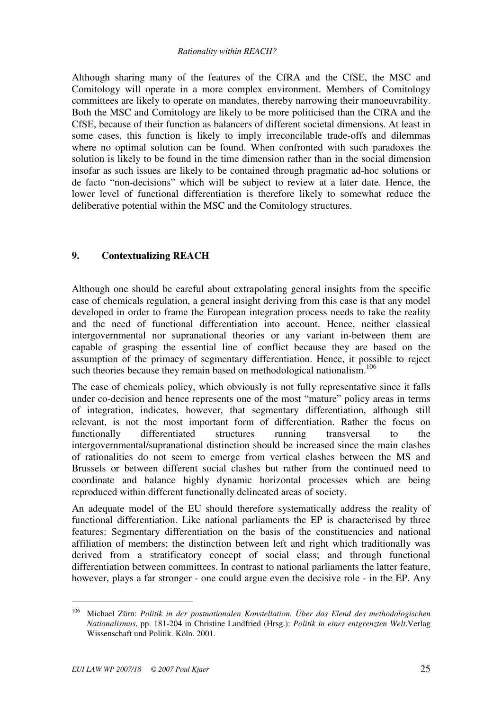Although sharing many of the features of the CfRA and the CfSE, the MSC and Comitology will operate in a more complex environment. Members of Comitology committees are likely to operate on mandates, thereby narrowing their manoeuvrability. Both the MSC and Comitology are likely to be more politicised than the CfRA and the CfSE, because of their function as balancers of different societal dimensions. At least in some cases, this function is likely to imply irreconcilable trade-offs and dilemmas where no optimal solution can be found. When confronted with such paradoxes the solution is likely to be found in the time dimension rather than in the social dimension insofar as such issues are likely to be contained through pragmatic ad-hoc solutions or de facto "non-decisions" which will be subject to review at a later date. Hence, the lower level of functional differentiation is therefore likely to somewhat reduce the deliberative potential within the MSC and the Comitology structures.

## **9. Contextualizing REACH**

Although one should be careful about extrapolating general insights from the specific case of chemicals regulation, a general insight deriving from this case is that any model developed in order to frame the European integration process needs to take the reality and the need of functional differentiation into account. Hence, neither classical intergovernmental nor supranational theories or any variant in-between them are capable of grasping the essential line of conflict because they are based on the assumption of the primacy of segmentary differentiation. Hence, it possible to reject such theories because they remain based on methodological nationalism.<sup>106</sup>

The case of chemicals policy, which obviously is not fully representative since it falls under co-decision and hence represents one of the most "mature" policy areas in terms of integration, indicates, however, that segmentary differentiation, although still relevant, is not the most important form of differentiation. Rather the focus on functionally differentiated structures running transversal to the intergovernmental/supranational distinction should be increased since the main clashes of rationalities do not seem to emerge from vertical clashes between the MS and Brussels or between different social clashes but rather from the continued need to coordinate and balance highly dynamic horizontal processes which are being reproduced within different functionally delineated areas of society.

An adequate model of the EU should therefore systematically address the reality of functional differentiation. Like national parliaments the EP is characterised by three features: Segmentary differentiation on the basis of the constituencies and national affiliation of members; the distinction between left and right which traditionally was derived from a stratificatory concept of social class; and through functional differentiation between committees. In contrast to national parliaments the latter feature, however, plays a far stronger - one could argue even the decisive role - in the EP. Any

<sup>106</sup> Michael Zürn: *Politik in der postnationalen Konstellation. Über das Elend des methodologischen Nationalismus*, pp. 181-204 in Christine Landfried (Hrsg.): *Politik in einer entgrenzten Welt*.Verlag Wissenschaft und Politik. Köln. 2001.